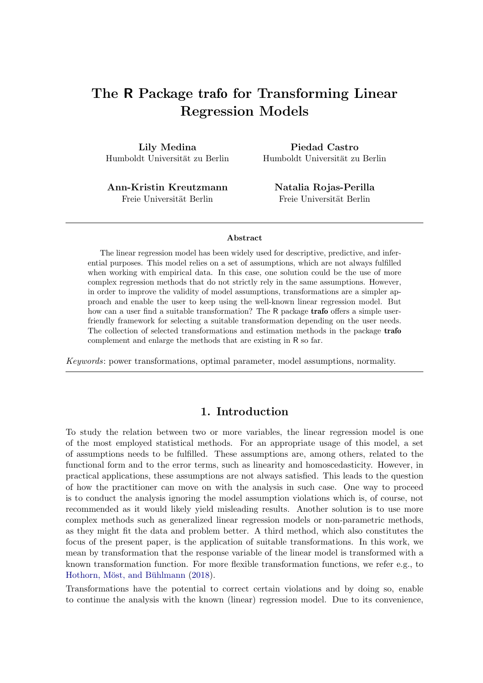# The R Package trafo for Transforming Linear Regression Models

Lily Medina Humboldt Universität zu Berlin

Piedad Castro Humboldt Universität zu Berlin

Ann-Kristin Kreutzmann Freie Universität Berlin

Natalia Rojas-Perilla Freie Universität Berlin

#### Abstract

The linear regression model has been widely used for descriptive, predictive, and inferential purposes. This model relies on a set of assumptions, which are not always fulfilled when working with empirical data. In this case, one solution could be the use of more complex regression methods that do not strictly rely in the same assumptions. However, in order to improve the validity of model assumptions, transformations are a simpler approach and enable the user to keep using the well-known linear regression model. But how can a user find a suitable transformation? The R package **trafo** offers a simple userfriendly framework for selecting a suitable transformation depending on the user needs. The collection of selected transformations and estimation methods in the package trafo complement and enlarge the methods that are existing in R so far.

Keywords: power transformations, optimal parameter, model assumptions, normality.

# 1. Introduction

To study the relation between two or more variables, the linear regression model is one of the most employed statistical methods. For an appropriate usage of this model, a set of assumptions needs to be fulfilled. These assumptions are, among others, related to the functional form and to the error terms, such as linearity and homoscedasticity. However, in practical applications, these assumptions are not always satisfied. This leads to the question of how the practitioner can move on with the analysis in such case. One way to proceed is to conduct the analysis ignoring the model assumption violations which is, of course, not recommended as it would likely yield misleading results. Another solution is to use more complex methods such as generalized linear regression models or non-parametric methods, as they might fit the data and problem better. A third method, which also constitutes the focus of the present paper, is the application of suitable transformations. In this work, we mean by transformation that the response variable of the linear model is transformed with a known transformation function. For more flexible transformation functions, we refer e.g., to Hothorn, Möst, and Bühlmann  $(2018)$ .

Transformations have the potential to correct certain violations and by doing so, enable to continue the analysis with the known (linear) regression model. Due to its convenience,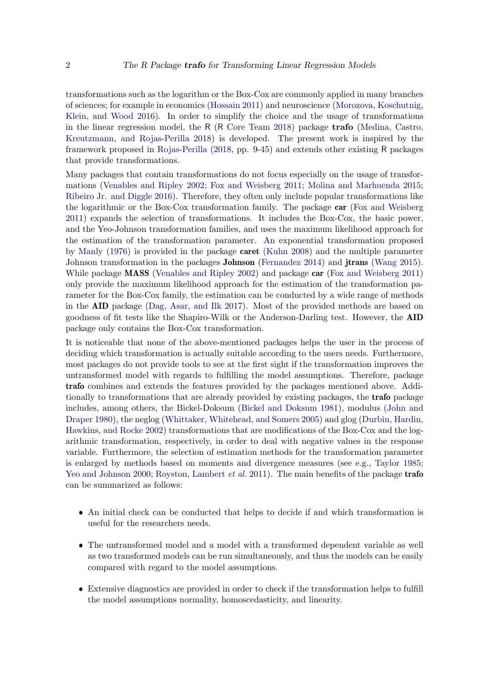transformations such as the logarithm or the Box-Cox are commonly applied in many branches of sciences; for example in economics [\(Hossain](#page-28-1) [2011\)](#page-28-1) and neuroscience [\(Morozova, Koschutnig,](#page-29-0) [Klein, and Wood](#page-29-0) [2016\)](#page-29-0). In order to simplify the choice and the usage of transformations in the linear regression model, the R (R [Core Team](#page-29-1) [2018\)](#page-29-1) package trafo [\(Medina, Castro,](#page-29-2) [Kreutzmann, and Rojas-Perilla](#page-29-2) [2018\)](#page-29-2) is developed. The present work is inspired by the framework proposed in [Rojas-Perilla](#page-29-3) [\(2018,](#page-29-3) pp. 9-45) and extends other existing R packages that provide transformations.

Many packages that contain transformations do not focus especially on the usage of transformations [\(Venables and Ripley](#page-29-4) [2002;](#page-29-4) [Fox and Weisberg](#page-28-2) [2011;](#page-28-2) [Molina and Marhuenda](#page-29-5) [2015;](#page-29-5) [Ribeiro Jr. and Diggle](#page-29-6) [2016\)](#page-29-6). Therefore, they often only include popular transformations like the logarithmic or the Box-Cox transformation family. The package car [\(Fox and Weisberg](#page-28-2) [2011\)](#page-28-2) expands the selection of transformations. It includes the Box-Cox, the basic power, and the Yeo-Johnson transformation families, and uses the maximum likelihood approach for the estimation of the transformation parameter. An exponential transformation proposed by [Manly](#page-29-7) [\(1976\)](#page-29-7) is provided in the package caret [\(Kuhn](#page-28-3) [2008\)](#page-28-3) and the multiple parameter Johnson transformation in the packages **Johnson** [\(Fernandez](#page-28-4) [2014\)](#page-28-4) and **jtrans** [\(Wang](#page-29-8) [2015\)](#page-29-8). While package MASS [\(Venables and Ripley](#page-29-4) [2002\)](#page-29-4) and package car [\(Fox and Weisberg](#page-28-2) [2011\)](#page-28-2) only provide the maximum likelihood approach for the estimation of the transformation parameter for the Box-Cox family, the estimation can be conducted by a wide range of methods in the AID package [\(Dag, Asar, and Ilk](#page-28-5) [2017\)](#page-28-5). Most of the provided methods are based on goodness of fit tests like the Shapiro-Wilk or the Anderson-Darling test. However, the AID package only contains the Box-Cox transformation.

It is noticeable that none of the above-mentioned packages helps the user in the process of deciding which transformation is actually suitable according to the users needs. Furthermore, most packages do not provide tools to see at the first sight if the transformation improves the untransformed model with regards to fulfilling the model assumptions. Therefore, package trafo combines and extends the features provided by the packages mentioned above. Additionally to transformations that are already provided by existing packages, the trafo package includes, among others, the Bickel-Doksum [\(Bickel and Doksum](#page-28-6) [1981\)](#page-28-6), modulus [\(John and](#page-28-7) [Draper](#page-28-7) [1980\)](#page-28-7), the neglog [\(Whittaker, Whitehead, and Somers](#page-29-9) [2005\)](#page-29-9) and glog [\(Durbin, Hardin,](#page-28-8) [Hawkins, and Rocke](#page-28-8) [2002\)](#page-28-8) transformations that are modifications of the Box-Cox and the logarithmic transformation, respectively, in order to deal with negative values in the response variable. Furthermore, the selection of estimation methods for the transformation parameter is enlarged by methods based on moments and divergence measures (see e.g., [Taylor](#page-29-10) [1985;](#page-29-10) [Yeo and Johnson](#page-29-11) [2000;](#page-29-11) [Royston, Lambert](#page-29-12) *et al.* [2011\)](#page-29-12). The main benefits of the package **trafo** can be summarized as follows:

- An initial check can be conducted that helps to decide if and which transformation is useful for the researchers needs.
- The untransformed model and a model with a transformed dependent variable as well as two transformed models can be run simultaneously, and thus the models can be easily compared with regard to the model assumptions.
- Extensive diagnostics are provided in order to check if the transformation helps to fulfill the model assumptions normality, homoscedasticity, and linearity.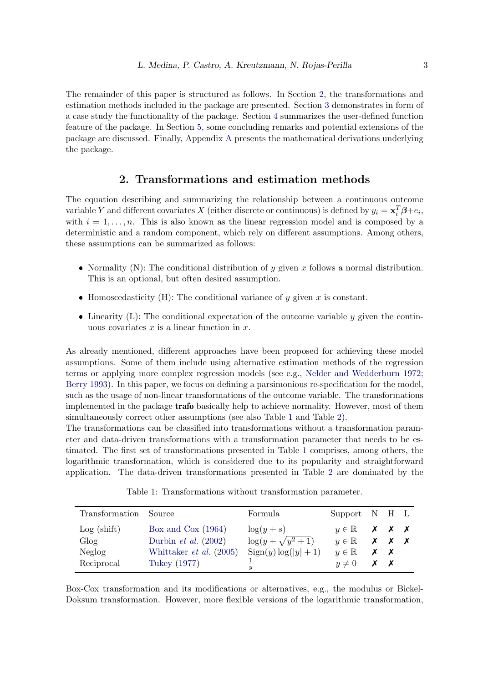The remainder of this paper is structured as follows. In Section [2,](#page-2-0) the transformations and estimation methods included in the package are presented. Section [3](#page-5-0) demonstrates in form of a case study the functionality of the package. Section [4](#page-11-0) summarizes the user-defined function feature of the package. In Section [5,](#page-12-0) some concluding remarks and potential extensions of the package are discussed. Finally, Appendix [A](#page-12-1) presents the mathematical derivations underlying the package.

# 2. Transformations and estimation methods

<span id="page-2-0"></span>The equation describing and summarizing the relationship between a continuous outcome variable Y and different covariates X (either discrete or continuous) is defined by  $y_i = \mathbf{x}_i^T \boldsymbol{\beta} + e_i$ , with  $i = 1, \ldots, n$ . This is also known as the linear regression model and is composed by a deterministic and a random component, which rely on different assumptions. Among others, these assumptions can be summarized as follows:

- Normality (N): The conditional distribution of y given x follows a normal distribution. This is an optional, but often desired assumption.
- Homoscedasticity (H): The conditional variance of  $y$  given  $x$  is constant.
- $\bullet$  Linearity (L): The conditional expectation of the outcome variable y given the continuous covariates  $x$  is a linear function in  $x$ .

As already mentioned, different approaches have been proposed for achieving these model assumptions. Some of them include using alternative estimation methods of the regression terms or applying more complex regression models (see e.g., [Nelder and Wedderburn](#page-29-13) [1972;](#page-29-13) [Berry](#page-28-9) [1993\)](#page-28-9). In this paper, we focus on defining a parsimonious re-specification for the model, such as the usage of non-linear transformations of the outcome variable. The transformations implemented in the package trafo basically help to achieve normality. However, most of them simultaneously correct other assumptions (see also Table [1](#page-2-1) and Table [2\)](#page-3-0).

The transformations can be classified into transformations without a transformation parameter and data-driven transformations with a transformation parameter that needs to be estimated. The first set of transformations presented in Table [1](#page-2-1) comprises, among others, the logarithmic transformation, which is considered due to its popularity and straightforward application. The data-driven transformations presented in Table [2](#page-3-0) are dominated by the

<span id="page-2-1"></span>

| Transformation Source |                                  | Formula                    | Support N H L                  |                                   |             |  |
|-----------------------|----------------------------------|----------------------------|--------------------------------|-----------------------------------|-------------|--|
| Log (shift)           | Box and $\text{Cox}$ (1964)      | $\log(y+s)$                | $y \in \mathbb{R}$ $X$ $X$ $X$ |                                   |             |  |
| Glog                  | Durbin <i>et al.</i> $(2002)$    | $\log(y + \sqrt{y^2 + 1})$ | $y \in \mathbb{R}$             |                                   | $X$ $X$ $X$ |  |
| Neglog                | Whittaker <i>et al.</i> $(2005)$ | $Sign(y) log( y +1)$       | $y \in \mathbb{R}$             | $\boldsymbol{x}$ $\boldsymbol{x}$ |             |  |
| Reciprocal            | Tukey (1977)                     | $\overline{y}$             | $y\neq 0$                      |                                   |             |  |

Table 1: Transformations without transformation parameter.

Box-Cox transformation and its modifications or alternatives, e.g., the modulus or Bickel-Doksum transformation. However, more flexible versions of the logarithmic transformation,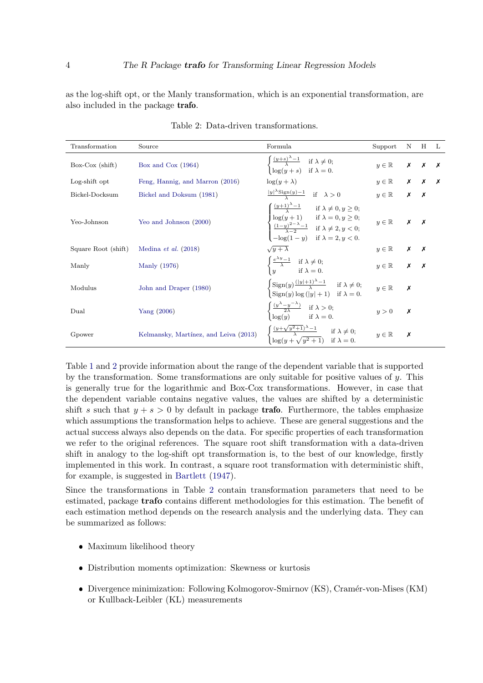as the log-shift opt, or the Manly transformation, which is an exponential transformation, are also included in the package trafo.

<span id="page-3-0"></span>

| Transformation      | Source                                | Formula                                                                                                                                                                                                                                                                                                         | Support                                       | N          | H           | - L |
|---------------------|---------------------------------------|-----------------------------------------------------------------------------------------------------------------------------------------------------------------------------------------------------------------------------------------------------------------------------------------------------------------|-----------------------------------------------|------------|-------------|-----|
| $Box-Cox$ (shift)   | Box and $Cox(1964)$                   | $\begin{cases} \frac{(y+s)^{\lambda}-1}{\lambda} & \text{if } \lambda \neq 0; \\ \log(y+s) & \text{if } \lambda = 0. \end{cases}$                                                                                                                                                                               | $y \in \mathbb{R}$                            |            | $X$ $X$ $X$ |     |
| Log-shift opt       | Feng, Hannig, and Marron (2016)       | $\log(y + \lambda)$                                                                                                                                                                                                                                                                                             | $y \in \mathbb{R}$ $\times$ $\times$ $\times$ |            |             |     |
| Bickel-Docksum      | Bickel and Doksum (1981)              | $\frac{ y ^{\lambda}\operatorname{Sign}(y)-1}{\lambda}$ if $\lambda > 0$                                                                                                                                                                                                                                        | $y \in \mathbb{R}$ $\times$ $\times$          |            |             |     |
| Yeo-Johnson         | Yeo and Johnson (2000)                | $\label{eq:2.1} \begin{cases} \frac{(y+1)^{\lambda}-1}{\lambda} & \text{ if } \lambda\neq 0, y\geq 0; \\ \log(y+1) & \text{ if } \lambda=0, y\geq 0; \\ \frac{(1-y)^{2-\lambda}-1}{\lambda-2} & \text{ if } \lambda\neq 2, y<0; \\ -\log(1-y) & \text{ if } \lambda=2, y<0. \end{cases} \qquad y\in \mathbb{R}$ |                                               | $x \times$ |             |     |
| Square Root (shift) | Medina <i>et al.</i> $(2018)$         | $\sqrt{y+\lambda}$                                                                                                                                                                                                                                                                                              | $y\in\mathbb{R}$                              | $x \times$ |             |     |
| Manly               | Manly (1976)                          | $\begin{cases} \frac{e^{\lambda y}-1}{\lambda} & \text{if } \lambda \neq 0; \\ y & \text{if } \lambda = 0. \end{cases}$                                                                                                                                                                                         | $y \in \mathbb{R}$ $\times$ $\times$          |            |             |     |
| Modulus             | John and Draper (1980)                | $\begin{cases}\n\text{Sign}(y) \frac{( y +1)^{\lambda}-1}{\lambda} & \text{if } \lambda \neq 0; \\ \text{Sign}(y) \log( y +1) & \text{if } \lambda = 0.\n\end{cases}$                                                                                                                                           | $y \in \mathbb{R}$                            | X          |             |     |
| Dual                | Yang $(2006)$                         | $\begin{cases} \frac{(y^{\lambda}-y^{-\lambda})}{2\lambda} & \text{if } \lambda > 0; \\ \log(y) & \text{if } \lambda = 0. \end{cases}$                                                                                                                                                                          | y>0                                           | Х          |             |     |
| Gpower              | Kelmansky, Martínez, and Leiva (2013) | $\begin{cases} \frac{(y+\sqrt{y^2+1})^{\lambda}-1}{\lambda} & \text{if } \lambda \neq 0; \\ \log(y+\sqrt{y^2+1}) & \text{if } \lambda = 0. \end{cases}$                                                                                                                                                         | $y \in \mathbb{R}$                            | Х          |             |     |

Table 2: Data-driven transformations.

Table [1](#page-2-1) and [2](#page-3-0) provide information about the range of the dependent variable that is supported by the transformation. Some transformations are only suitable for positive values of  $y$ . This is generally true for the logarithmic and Box-Cox transformations. However, in case that the dependent variable contains negative values, the values are shifted by a deterministic shift s such that  $y + s > 0$  by default in package **trafo**. Furthermore, the tables emphasize which assumptions the transformation helps to achieve. These are general suggestions and the actual success always also depends on the data. For specific properties of each transformation we refer to the original references. The square root shift transformation with a data-driven shift in analogy to the log-shift opt transformation is, to the best of our knowledge, firstly implemented in this work. In contrast, a square root transformation with deterministic shift, for example, is suggested in [Bartlett](#page-28-13) [\(1947\)](#page-28-13).

Since the transformations in Table [2](#page-3-0) contain transformation parameters that need to be estimated, package trafo contains different methodologies for this estimation. The benefit of each estimation method depends on the research analysis and the underlying data. They can be summarized as follows:

- Maximum likelihood theory
- Distribution moments optimization: Skewness or kurtosis
- Divergence minimization: Following Kolmogorov-Smirnov (KS), Cramér-von-Mises (KM) or Kullback-Leibler (KL) measurements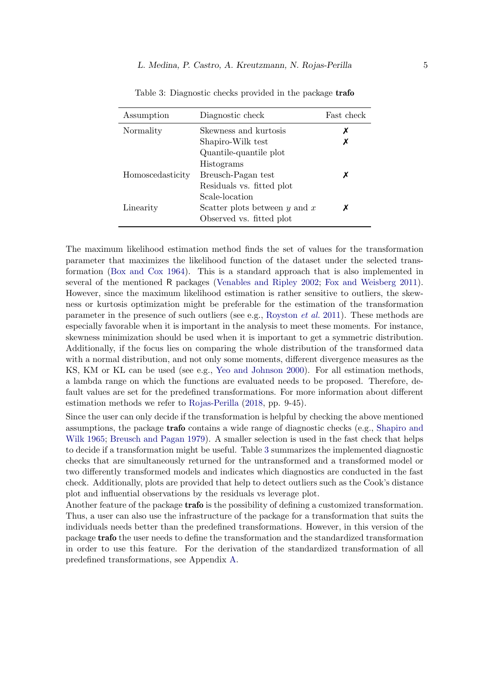<span id="page-4-0"></span>

| Assumption       | Diagnostic check                  | Fast check |
|------------------|-----------------------------------|------------|
| Normality        | Skewness and kurtosis             | х          |
|                  | Shapiro-Wilk test                 | х          |
|                  | Quantile-quantile plot            |            |
|                  | Histograms                        |            |
| Homoscedasticity | Breusch-Pagan test                |            |
|                  | Residuals vs. fitted plot         |            |
|                  | Scale-location                    |            |
| Linearity        | Scatter plots between $y$ and $x$ |            |
|                  | Observed vs. fitted plot          |            |

Table 3: Diagnostic checks provided in the package trafo

The maximum likelihood estimation method finds the set of values for the transformation parameter that maximizes the likelihood function of the dataset under the selected transformation [\(Box and Cox](#page-28-10) [1964\)](#page-28-10). This is a standard approach that is also implemented in several of the mentioned R packages [\(Venables and Ripley](#page-29-4) [2002;](#page-29-4) [Fox and Weisberg](#page-28-2) [2011\)](#page-28-2). However, since the maximum likelihood estimation is rather sensitive to outliers, the skewness or kurtosis optimization might be preferable for the estimation of the transformation parameter in the presence of such outliers (see e.g., [Royston](#page-29-12) et al. [2011\)](#page-29-12). These methods are especially favorable when it is important in the analysis to meet these moments. For instance, skewness minimization should be used when it is important to get a symmetric distribution. Additionally, if the focus lies on comparing the whole distribution of the transformed data with a normal distribution, and not only some moments, different divergence measures as the KS, KM or KL can be used (see e.g., [Yeo and Johnson](#page-29-11) [2000\)](#page-29-11). For all estimation methods, a lambda range on which the functions are evaluated needs to be proposed. Therefore, default values are set for the predefined transformations. For more information about different estimation methods we refer to [Rojas-Perilla](#page-29-3) [\(2018,](#page-29-3) pp. 9-45).

Since the user can only decide if the transformation is helpful by checking the above mentioned assumptions, the package trafo contains a wide range of diagnostic checks (e.g., [Shapiro and](#page-29-16) [Wilk](#page-29-16) [1965;](#page-29-16) [Breusch and Pagan](#page-28-14) [1979\)](#page-28-14). A smaller selection is used in the fast check that helps to decide if a transformation might be useful. Table [3](#page-4-0) summarizes the implemented diagnostic checks that are simultaneously returned for the untransformed and a transformed model or two differently transformed models and indicates which diagnostics are conducted in the fast check. Additionally, plots are provided that help to detect outliers such as the Cook's distance plot and influential observations by the residuals vs leverage plot.

Another feature of the package **trafo** is the possibility of defining a customized transformation. Thus, a user can also use the infrastructure of the package for a transformation that suits the individuals needs better than the predefined transformations. However, in this version of the package trafo the user needs to define the transformation and the standardized transformation in order to use this feature. For the derivation of the standardized transformation of all predefined transformations, see Appendix [A.](#page-12-1)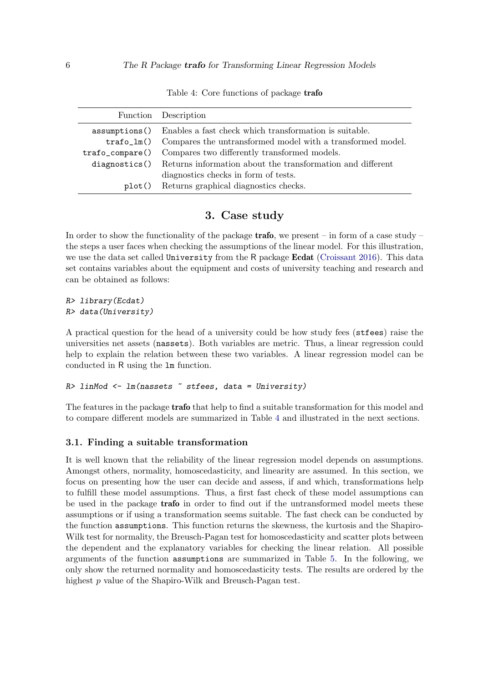<span id="page-5-1"></span>

| Function Description                                                      |
|---------------------------------------------------------------------------|
| assumptions () Enables a fast check which transformation is suitable.     |
| trafo_lm() Compares the untransformed model with a transformed model.     |
| trafo_compare() Compares two differently transformed models.              |
| diagnostics () Returns information about the transformation and different |
| diagnostics checks in form of tests.                                      |
| plot() Returns graphical diagnostics checks.                              |

Table 4: Core functions of package trafo

# 3. Case study

<span id="page-5-0"></span>In order to show the functionality of the package **trafo**, we present – in form of a case study – the steps a user faces when checking the assumptions of the linear model. For this illustration, we use the data set called University from the R package **Ecdat** [\(Croissant](#page-28-15) [2016\)](#page-28-15). This data set contains variables about the equipment and costs of university teaching and research and can be obtained as follows:

R> library(Ecdat) R> data(University)

A practical question for the head of a university could be how study fees (stfees) raise the universities net assets (nassets). Both variables are metric. Thus, a linear regression could help to explain the relation between these two variables. A linear regression model can be conducted in R using the lm function.

 $R$ > linMod  $\leq$  lm(nassets  $\tilde{ }$  stfees, data = University)

The features in the package trafo that help to find a suitable transformation for this model and to compare different models are summarized in Table [4](#page-5-1) and illustrated in the next sections.

#### 3.1. Finding a suitable transformation

It is well known that the reliability of the linear regression model depends on assumptions. Amongst others, normality, homoscedasticity, and linearity are assumed. In this section, we focus on presenting how the user can decide and assess, if and which, transformations help to fulfill these model assumptions. Thus, a first fast check of these model assumptions can be used in the package trafo in order to find out if the untransformed model meets these assumptions or if using a transformation seems suitable. The fast check can be conducted by the function assumptions. This function returns the skewness, the kurtosis and the Shapiro-Wilk test for normality, the Breusch-Pagan test for homoscedasticity and scatter plots between the dependent and the explanatory variables for checking the linear relation. All possible arguments of the function assumptions are summarized in Table [5.](#page-7-0) In the following, we only show the returned normality and homoscedasticity tests. The results are ordered by the highest p value of the Shapiro-Wilk and Breusch-Pagan test.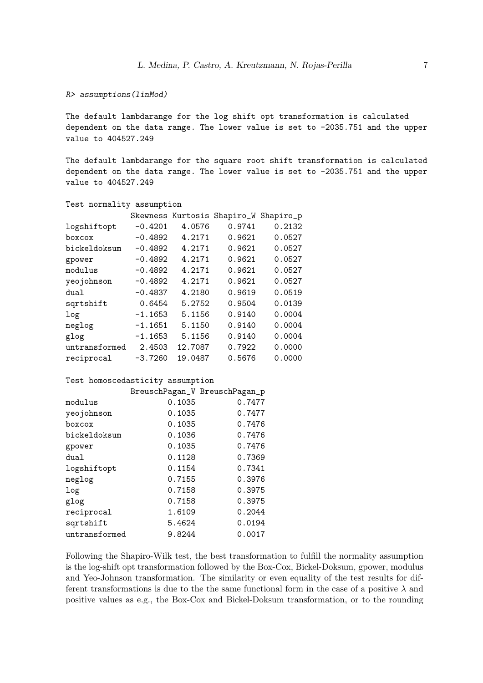#### R> assumptions(linMod)

The default lambdarange for the log shift opt transformation is calculated dependent on the data range. The lower value is set to -2035.751 and the upper value to 404527.249

The default lambdarange for the square root shift transformation is calculated dependent on the data range. The lower value is set to -2035.751 and the upper value to 404527.249

| Test normality assumption |           |         |                                       |        |
|---------------------------|-----------|---------|---------------------------------------|--------|
|                           |           |         | Skewness Kurtosis Shapiro_W Shapiro_p |        |
| logshiftopt               | $-0.4201$ | 4.0576  | 0.9741                                | 0.2132 |
| boxcox                    | $-0.4892$ | 4.2171  | 0.9621                                | 0.0527 |
| bickeldoksum              | $-0.4892$ | 4.2171  | 0.9621                                | 0.0527 |
| gpower                    | $-0.4892$ | 4.2171  | 0.9621                                | 0.0527 |
| modulus                   | $-0.4892$ | 4.2171  | 0.9621                                | 0.0527 |
| yeojohnson                | $-0.4892$ | 4.2171  | 0.9621                                | 0.0527 |
| dual                      | $-0.4837$ | 4.2180  | 0.9619                                | 0.0519 |
| sqrtshift                 | 0.6454    | 5.2752  | 0.9504                                | 0.0139 |
| log                       | $-1.1653$ | 5.1156  | 0.9140                                | 0.0004 |
| neglog                    | $-1.1651$ | 5.1150  | 0.9140                                | 0.0004 |
| glog                      | $-1.1653$ | 5.1156  | 0.9140                                | 0.0004 |
| untransformed             | 2.4503    | 12.7087 | 0.7922                                | 0.0000 |
| reciprocal                | $-3.7260$ | 19.0487 | 0.5676                                | 0.0000 |

### Test homoscedasticity assumption

|               | BreuschPagan_V BreuschPagan_p |        |
|---------------|-------------------------------|--------|
| modulus       | 0.1035                        | 0.7477 |
| yeojohnson    | 0.1035                        | 0.7477 |
| boxcox        | 0.1035                        | 0.7476 |
| bickeldoksum  | 0.1036                        | 0.7476 |
| gpower        | 0.1035                        | 0.7476 |
| dual          | 0.1128                        | 0.7369 |
| logshiftopt   | 0.1154                        | 0.7341 |
| neglog        | 0.7155                        | 0.3976 |
| log           | 0.7158                        | 0.3975 |
| glog          | 0.7158                        | 0.3975 |
| reciprocal    | 1.6109                        | 0.2044 |
| sqrtshift     | 5.4624                        | 0.0194 |
| untransformed | 9.8244                        | 0.0017 |

Following the Shapiro-Wilk test, the best transformation to fulfill the normality assumption is the log-shift opt transformation followed by the Box-Cox, Bickel-Doksum, gpower, modulus and Yeo-Johnson transformation. The similarity or even equality of the test results for different transformations is due to the the same functional form in the case of a positive  $\lambda$  and positive values as e.g., the Box-Cox and Bickel-Doksum transformation, or to the rounding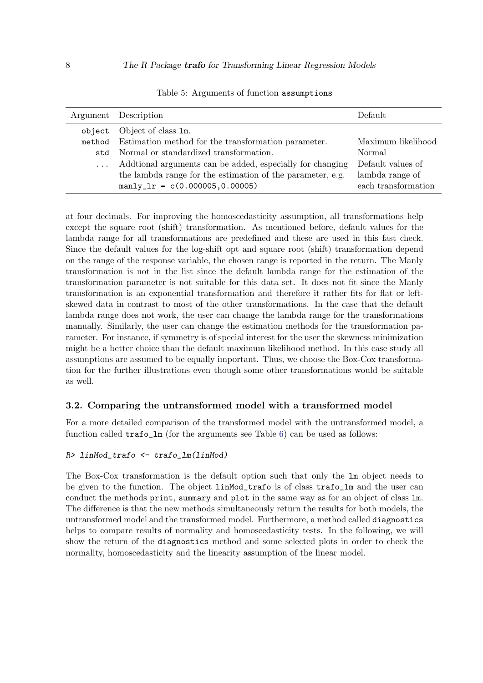<span id="page-7-0"></span>

|          | Argument Description                                       | Default             |
|----------|------------------------------------------------------------|---------------------|
| object   | Object of class 1m.                                        |                     |
| method   | Estimation method for the transformation parameter.        | Maximum likelihood  |
| std      | Normal or standardized transformation.                     | Normal              |
| $\cdots$ | Additional arguments can be added, especially for changing | Default values of   |
|          | the lambda range for the estimation of the parameter, e.g. | lambda range of     |
|          | $manly_l = c(0.000005, 0.00005)$                           | each transformation |

Table 5: Arguments of function assumptions

at four decimals. For improving the homoscedasticity assumption, all transformations help except the square root (shift) transformation. As mentioned before, default values for the lambda range for all transformations are predefined and these are used in this fast check. Since the default values for the log-shift opt and square root (shift) transformation depend on the range of the response variable, the chosen range is reported in the return. The Manly transformation is not in the list since the default lambda range for the estimation of the transformation parameter is not suitable for this data set. It does not fit since the Manly transformation is an exponential transformation and therefore it rather fits for flat or leftskewed data in contrast to most of the other transformations. In the case that the default lambda range does not work, the user can change the lambda range for the transformations manually. Similarly, the user can change the estimation methods for the transformation parameter. For instance, if symmetry is of special interest for the user the skewness minimization might be a better choice than the default maximum likelihood method. In this case study all assumptions are assumed to be equally important. Thus, we choose the Box-Cox transformation for the further illustrations even though some other transformations would be suitable as well.

### 3.2. Comparing the untransformed model with a transformed model

For a more detailed comparison of the transformed model with the untransformed model, a function called  $\text{traf}_\text{o\_lm}$  (for the arguments see Table [6\)](#page-9-0) can be used as follows:

#### R> linMod\_trafo <- trafo\_lm(linMod)

The Box-Cox transformation is the default option such that only the lm object needs to be given to the function. The object linMod\_trafo is of class trafo\_lm and the user can conduct the methods print, summary and plot in the same way as for an object of class lm. The difference is that the new methods simultaneously return the results for both models, the untransformed model and the transformed model. Furthermore, a method called diagnostics helps to compare results of normality and homoscedasticity tests. In the following, we will show the return of the diagnostics method and some selected plots in order to check the normality, homoscedasticity and the linearity assumption of the linear model.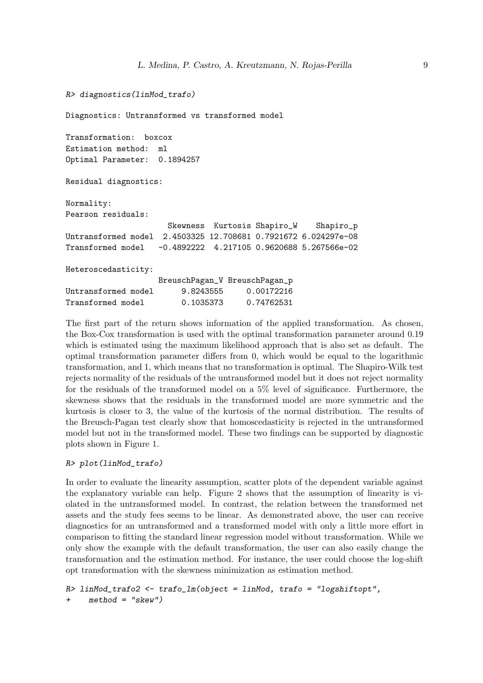```
R> diagnostics(linMod_trafo)
Diagnostics: Untransformed vs transformed model
Transformation: boxcox
Estimation method: ml
Optimal Parameter: 0.1894257
Residual diagnostics:
Normality:
Pearson residuals:
                     Skewness Kurtosis Shapiro_W Shapiro_p
Untransformed model 2.4503325 12.708681 0.7921672 6.024297e-08
Transformed model -0.4892222 4.217105 0.9620688 5.267566e-02
Heteroscedasticity:
                   BreuschPagan_V BreuschPagan_p
Untransformed model 9.8243555 0.00172216
Transformed model 0.1035373 0.74762531
```
The first part of the return shows information of the applied transformation. As chosen, the Box-Cox transformation is used with the optimal transformation parameter around 0.19 which is estimated using the maximum likelihood approach that is also set as default. The optimal transformation parameter differs from 0, which would be equal to the logarithmic transformation, and 1, which means that no transformation is optimal. The Shapiro-Wilk test rejects normality of the residuals of the untransformed model but it does not reject normality for the residuals of the transformed model on a 5% level of significance. Furthermore, the skewness shows that the residuals in the transformed model are more symmetric and the kurtosis is closer to 3, the value of the kurtosis of the normal distribution. The results of the Breusch-Pagan test clearly show that homoscedasticity is rejected in the untransformed model but not in the transformed model. These two findings can be supported by diagnostic plots shown in Figure [1.](#page-9-1)

#### R> plot(linMod\_trafo)

In order to evaluate the linearity assumption, scatter plots of the dependent variable against the explanatory variable can help. Figure [2](#page-9-2) shows that the assumption of linearity is violated in the untransformed model. In contrast, the relation between the transformed net assets and the study fees seems to be linear. As demonstrated above, the user can receive diagnostics for an untransformed and a transformed model with only a little more effort in comparison to fitting the standard linear regression model without transformation. While we only show the example with the default transformation, the user can also easily change the transformation and the estimation method. For instance, the user could choose the log-shift opt transformation with the skewness minimization as estimation method.

```
R> linMod_trafo2 <- trafo_lm(object = linMod, trafo = "logshiftopt",
     method = "skew")
```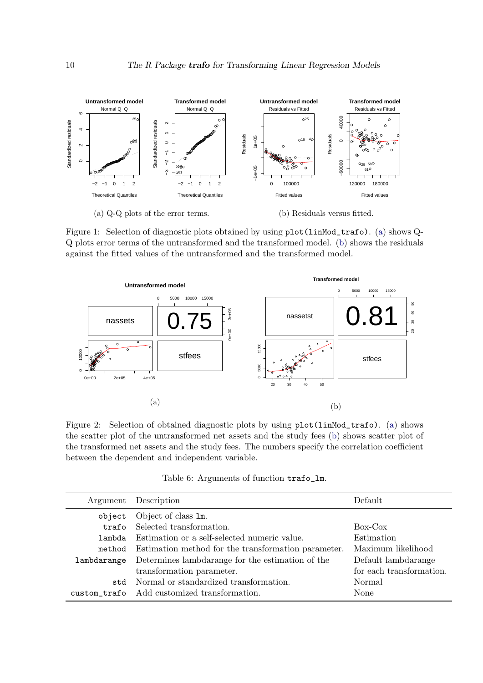<span id="page-9-1"></span>

Figure 1: Selection of diagnostic plots obtained by using plot(linMod\_trafo). [\(a\)](#page-9-1) shows Q-Q plots error terms of the untransformed and the transformed model. [\(b\)](#page-9-1) shows the residuals against the fitted values of the untransformed and the transformed model.

<span id="page-9-2"></span>

Figure 2: Selection of obtained diagnostic plots by using  $plot(linMod\_trafo)$ . [\(a\)](#page-9-2) shows the scatter plot of the untransformed net assets and the study fees [\(b\)](#page-9-2) shows scatter plot of the transformed net assets and the study fees. The numbers specify the correlation coefficient between the dependent and independent variable.

<span id="page-9-0"></span>

|             | Argument Description                                       | Default                  |
|-------------|------------------------------------------------------------|--------------------------|
| object      | Object of class 1m.                                        |                          |
| trafo       | Selected transformation.                                   | $Box-Cox$                |
|             | lambda Estimation or a self-selected numeric value.        | Estimation               |
|             | method Estimation method for the transformation parameter. | Maximum likelihood       |
| lambdarange | Determines lambdarange for the estimation of the           | Default lambdarange      |
|             | transformation parameter.                                  | for each transformation. |
| st.d        | Normal or standardized transformation.                     | Normal                   |
|             | custom_trafo Add customized transformation.                | None                     |

Table 6: Arguments of function trafo\_lm.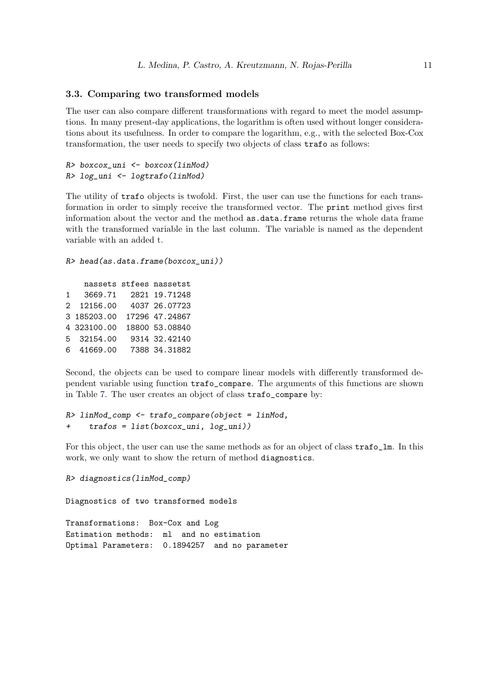#### 3.3. Comparing two transformed models

The user can also compare different transformations with regard to meet the model assumptions. In many present-day applications, the logarithm is often used without longer considerations about its usefulness. In order to compare the logarithm, e.g., with the selected Box-Cox transformation, the user needs to specify two objects of class trafo as follows:

```
R> boxcox_uni <- boxcox(linMod)
R> log_uni <- logtrafo(linMod)
```
The utility of trafo objects is twofold. First, the user can use the functions for each transformation in order to simply receive the transformed vector. The print method gives first information about the vector and the method as.data.frame returns the whole data frame with the transformed variable in the last column. The variable is named as the dependent variable with an added t.

```
R> head(as.data.frame(boxcox_uni))
```

```
nassets stfees nassetst
1 3669.71 2821 19.71248
2 12156.00 4037 26.07723
3 185203.00 17296 47.24867
4 323100.00 18800 53.08840
5 32154.00 9314 32.42140
6 41669.00 7388 34.31882
```
Second, the objects can be used to compare linear models with differently transformed dependent variable using function trafo\_compare. The arguments of this functions are shown in Table [7.](#page-11-1) The user creates an object of class trafo\_compare by:

```
R> linMod_comp <- trafo_compare(object = linMod,
+ trafos = list(boxcox_uni, log_uni))
```
For this object, the user can use the same methods as for an object of class  $\text{trafo\_lm}$ . In this work, we only want to show the return of method diagnostics.

```
R> diagnostics(linMod_comp)
```
Diagnostics of two transformed models

Transformations: Box-Cox and Log Estimation methods: ml and no estimation Optimal Parameters: 0.1894257 and no parameter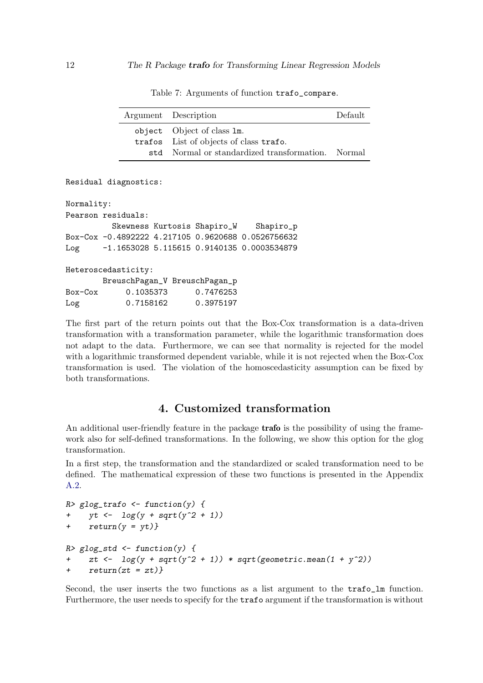<span id="page-11-1"></span>

| Argument Description                                                 | Default |
|----------------------------------------------------------------------|---------|
| object Object of class 1m.<br>trafos List of objects of class trafo. |         |
| std Normal or standardized transformation. Normal                    |         |

Table 7: Arguments of function trafo\_compare.

Residual diagnostics:

Normality: Pearson residuals: Skewness Kurtosis Shapiro\_W Shapiro\_p Box-Cox -0.4892222 4.217105 0.9620688 0.0526756632 Log -1.1653028 5.115615 0.9140135 0.0003534879 Heteroscedasticity: BreuschPagan\_V BreuschPagan\_p Box-Cox 0.1035373 0.7476253 Log 0.7158162 0.3975197

The first part of the return points out that the Box-Cox transformation is a data-driven transformation with a transformation parameter, while the logarithmic transformation does not adapt to the data. Furthermore, we can see that normality is rejected for the model with a logarithmic transformed dependent variable, while it is not rejected when the Box-Cox transformation is used. The violation of the homoscedasticity assumption can be fixed by both transformations.

# 4. Customized transformation

<span id="page-11-0"></span>An additional user-friendly feature in the package **trafo** is the possibility of using the framework also for self-defined transformations. In the following, we show this option for the glog transformation.

In a first step, the transformation and the standardized or scaled transformation need to be defined. The mathematical expression of these two functions is presented in the Appendix [A.2.](#page-13-0)

```
R> glog_trafo <- function(y) {
+ yt \leftarrow \log(y + \sqrt{sqrt}(y^2 + 1))+ return(y = yt)}
R> glog_std <- function(y) {
     zt \leftarrow log(y + sqrt(y^2 + 1)) * sqrt(geometric.mean(1 + y^2))
+ return(zt = zt)}
```
Second, the user inserts the two functions as a list argument to the trafo\_lm function. Furthermore, the user needs to specify for the trafo argument if the transformation is without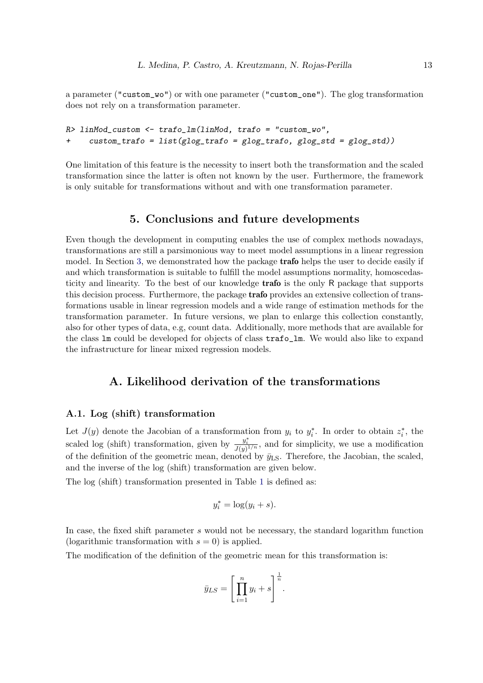a parameter ("custom\_wo") or with one parameter ("custom\_one"). The glog transformation does not rely on a transformation parameter.

```
R> linMod_custom <- trafo_lm(linMod, trafo = "custom_wo",
      \text{custom\_trafo} = \text{list}(\text{glog\_trafo} = \text{glog\_trafo}, \text{glog\_std} = \text{glog\_std})
```
One limitation of this feature is the necessity to insert both the transformation and the scaled transformation since the latter is often not known by the user. Furthermore, the framework is only suitable for transformations without and with one transformation parameter.

# 5. Conclusions and future developments

<span id="page-12-0"></span>Even though the development in computing enables the use of complex methods nowadays, transformations are still a parsimonious way to meet model assumptions in a linear regression model. In Section [3,](#page-5-0) we demonstrated how the package **trafo** helps the user to decide easily if and which transformation is suitable to fulfill the model assumptions normality, homoscedasticity and linearity. To the best of our knowledge trafo is the only R package that supports this decision process. Furthermore, the package trafo provides an extensive collection of transformations usable in linear regression models and a wide range of estimation methods for the transformation parameter. In future versions, we plan to enlarge this collection constantly, also for other types of data, e.g, count data. Additionally, more methods that are available for the class lm could be developed for objects of class trafo\_lm. We would also like to expand the infrastructure for linear mixed regression models.

# A. Likelihood derivation of the transformations

### <span id="page-12-1"></span>A.1. Log (shift) transformation

Let  $J(y)$  denote the Jacobian of a transformation from  $y_i$  to  $y_i^*$ . In order to obtain  $z_i^*$ , the scaled log (shift) transformation, given by  $\frac{y_i^*}{J(y)^{1/n}}$ , and for simplicity, we use a modification of the definition of the geometric mean, denoted by  $\bar{y}_{LS}$ . Therefore, the Jacobian, the scaled, and the inverse of the log (shift) transformation are given below.

The log (shift) transformation presented in Table [1](#page-2-1) is defined as:

$$
y_i^* = \log(y_i + s).
$$

In case, the fixed shift parameter s would not be necessary, the standard logarithm function (logarithmic transformation with  $s = 0$ ) is applied.

$$
\bar{y}_{LS} = \left[ \prod_{i=1}^{n} y_i + s \right]^{\frac{1}{n}}.
$$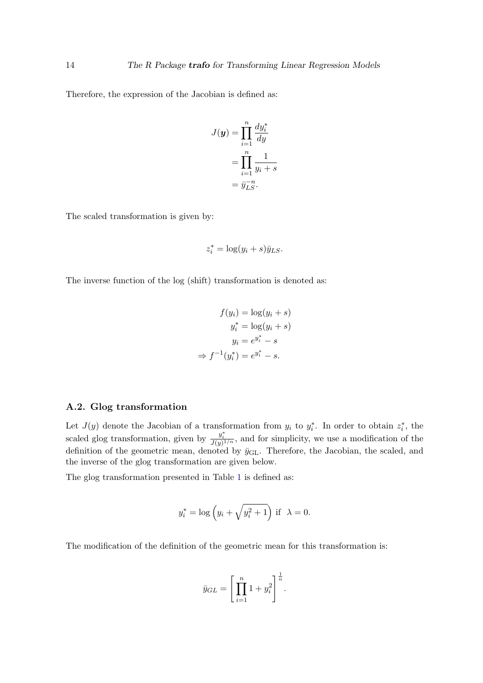Therefore, the expression of the Jacobian is defined as:

$$
J(\mathbf{y}) = \prod_{i=1}^{n} \frac{dy_i^*}{dy}
$$

$$
= \prod_{i=1}^{n} \frac{1}{y_i + s}
$$

$$
= \bar{y}_{LS}^{-n}.
$$

The scaled transformation is given by:

$$
z_i^* = \log(y_i + s)\bar{y}_{LS}.
$$

The inverse function of the log (shift) transformation is denoted as:

$$
f(y_i) = \log(y_i + s)
$$

$$
y_i^* = \log(y_i + s)
$$

$$
y_i = e^{y_i^*} - s
$$

$$
\Rightarrow f^{-1}(y_i^*) = e^{y_i^*} - s.
$$

### <span id="page-13-0"></span>A.2. Glog transformation

Let  $J(y)$  denote the Jacobian of a transformation from  $y_i$  to  $y_i^*$ . In order to obtain  $z_i^*$ , the scaled glog transformation, given by  $\frac{y_i^*}{J(y)^{1/n}}$ , and for simplicity, we use a modification of the definition of the geometric mean, denoted by  $\bar{y}_{\text{GL}}$ . Therefore, the Jacobian, the scaled, and the inverse of the glog transformation are given below.

The glog transformation presented in Table [1](#page-2-1) is defined as:

$$
y_i^* = \log \left( y_i + \sqrt{y_i^2 + 1} \right)
$$
 if  $\lambda = 0$ .

$$
\bar{y}_{GL} = \left[\prod_{i=1}^{n} 1 + y_i^2\right]^{\frac{1}{n}}.
$$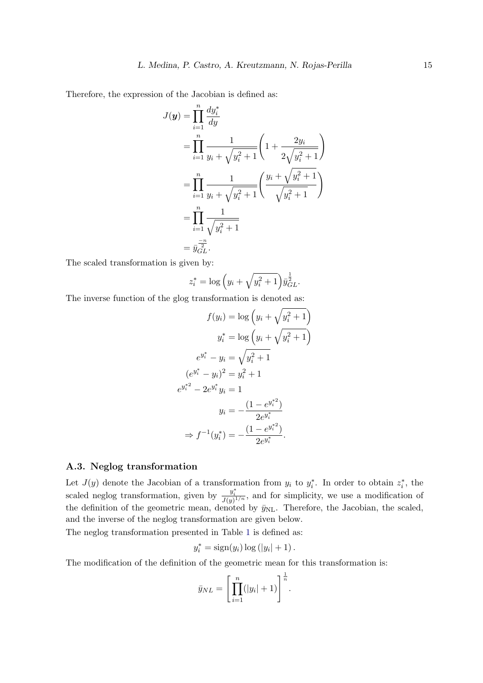Therefore, the expression of the Jacobian is defined as:

$$
J(\mathbf{y}) = \prod_{i=1}^{n} \frac{dy_i^*}{dy}
$$
  
= 
$$
\prod_{i=1}^{n} \frac{1}{y_i + \sqrt{y_i^2 + 1}} \left(1 + \frac{2y_i}{2\sqrt{y_i^2 + 1}}\right)
$$
  
= 
$$
\prod_{i=1}^{n} \frac{1}{y_i + \sqrt{y_i^2 + 1}} \left(\frac{y_i + \sqrt{y_i^2 + 1}}{\sqrt{y_i^2 + 1}}\right)
$$
  
= 
$$
\prod_{i=1}^{n} \frac{1}{\sqrt{y_i^2 + 1}}
$$
  
= 
$$
\bar{y}_{GL}^{-\frac{n}{2}}.
$$

The scaled transformation is given by:

$$
z_i^* = \log (y_i + \sqrt{y_i^2 + 1}) \bar{y}_{GL}^{\frac{1}{2}}.
$$

The inverse function of the glog transformation is denoted as:

$$
f(y_i) = \log (y_i + \sqrt{y_i^2 + 1})
$$
  

$$
y_i^* = \log (y_i + \sqrt{y_i^2 + 1})
$$
  

$$
e^{y_i^*} - y_i = \sqrt{y_i^2 + 1}
$$
  

$$
(e^{y_i^*} - y_i)^2 = y_i^2 + 1
$$
  

$$
e^{y_i^*2} - 2e^{y_i^*}y_i = 1
$$
  

$$
y_i = -\frac{(1 - e^{y_i^*2})}{2e^{y_i^*}}
$$
  

$$
\Rightarrow f^{-1}(y_i^*) = -\frac{(1 - e^{y_i^*2})}{2e^{y_i^*}}.
$$

### A.3. Neglog transformation

Let  $J(y)$  denote the Jacobian of a transformation from  $y_i$  to  $y_i^*$ . In order to obtain  $z_i^*$ , the scaled neglog transformation, given by  $\frac{y_i^*}{J(y)^{1/n}}$ , and for simplicity, we use a modification of the definition of the geometric mean, denoted by  $\bar{y}_{\text{NL}}$ . Therefore, the Jacobian, the scaled, and the inverse of the neglog transformation are given below.

The neglog transformation presented in Table [1](#page-2-1) is defined as:

$$
y_i^* = sign(y_i) \log (|y_i| + 1).
$$

$$
\bar{y}_{NL} = \left[ \prod_{i=1}^{n} (|y_i| + 1) \right]^{\frac{1}{n}}.
$$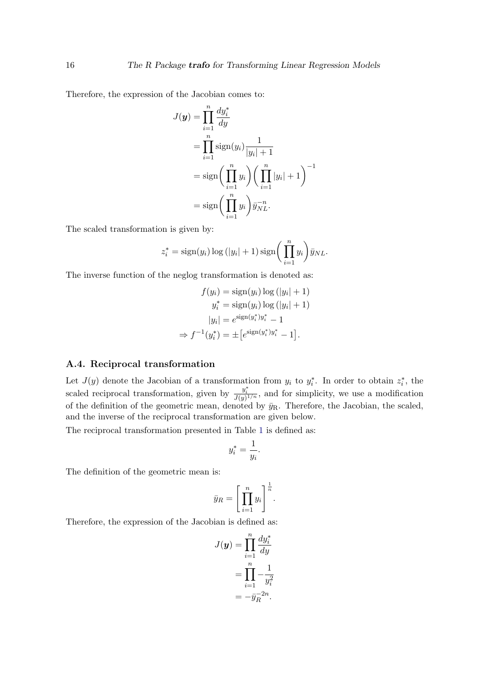Therefore, the expression of the Jacobian comes to:

$$
J(\mathbf{y}) = \prod_{i=1}^{n} \frac{dy_i^*}{dy}
$$
  
= 
$$
\prod_{i=1}^{n} \text{sign}(y_i) \frac{1}{|y_i| + 1}
$$
  
= 
$$
\text{sign}\left(\prod_{i=1}^{n} y_i\right) \left(\prod_{i=1}^{n} |y_i| + 1\right)^{-1}
$$
  
= 
$$
\text{sign}\left(\prod_{i=1}^{n} y_i\right) \bar{y}_{NL}^{-n}.
$$

The scaled transformation is given by:

$$
z_i^* = \text{sign}(y_i) \log (|y_i| + 1) \text{sign}\bigg(\prod_{i=1}^n y_i\bigg) \bar{y}_{NL}.
$$

The inverse function of the neglog transformation is denoted as:

$$
f(y_i) = \text{sign}(y_i) \log (|y_i| + 1)
$$

$$
y_i^* = \text{sign}(y_i) \log (|y_i| + 1)
$$

$$
|y_i| = e^{\text{sign}(y_i^*)y_i^*} - 1
$$

$$
\Rightarrow f^{-1}(y_i^*) = \pm [e^{\text{sign}(y_i^*)y_i^*} - 1].
$$

### A.4. Reciprocal transformation

Let  $J(y)$  denote the Jacobian of a transformation from  $y_i$  to  $y_i^*$ . In order to obtain  $z_i^*$ , the scaled reciprocal transformation, given by  $\frac{y_i^*}{J(y)^{1/n}}$ , and for simplicity, we use a modification of the definition of the geometric mean, denoted by  $\bar{y}_R$ . Therefore, the Jacobian, the scaled, and the inverse of the reciprocal transformation are given below.

The reciprocal transformation presented in Table [1](#page-2-1) is defined as:

$$
y_i^* = \frac{1}{y_i}.
$$

The definition of the geometric mean is:

$$
\bar{y}_R = \left[ \prod_{i=1}^n y_i \right]^{\frac{1}{n}}.
$$

Therefore, the expression of the Jacobian is defined as:

$$
J(\mathbf{y}) = \prod_{i=1}^{n} \frac{dy_i^*}{dy}
$$

$$
= \prod_{i=1}^{n} -\frac{1}{y_i^2}
$$

$$
= -\bar{y}_R^{-2n}.
$$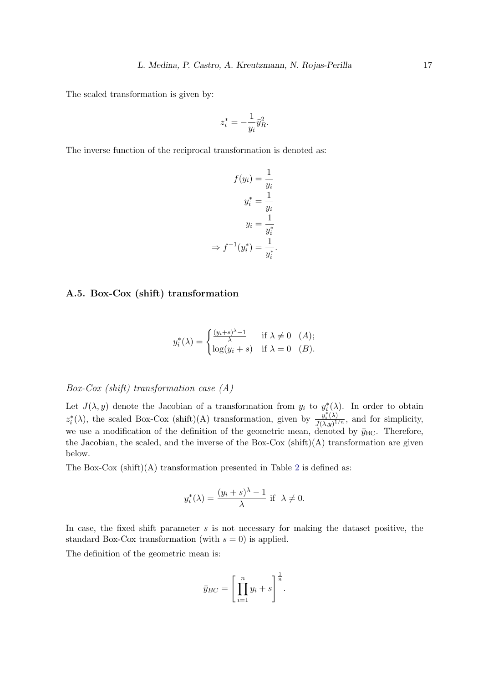The scaled transformation is given by:

$$
z_i^* = -\frac{1}{y_i}\bar{y}_R^2.
$$

The inverse function of the reciprocal transformation is denoted as:

$$
f(y_i) = \frac{1}{y_i}
$$

$$
y_i^* = \frac{1}{y_i}
$$

$$
y_i = \frac{1}{y_i^*}
$$

$$
\Rightarrow f^{-1}(y_i^*) = \frac{1}{y_i^*}.
$$

### A.5. Box-Cox (shift) transformation

$$
y_i^*(\lambda) = \begin{cases} \frac{(y_i + s)^{\lambda} - 1}{\lambda} & \text{if } \lambda \neq 0 \quad (A); \\ \log(y_i + s) & \text{if } \lambda = 0 \quad (B). \end{cases}
$$

### Box-Cox (shift) transformation case  $(A)$

Let  $J(\lambda, y)$  denote the Jacobian of a transformation from  $y_i$  to  $y_i^*(\lambda)$ . In order to obtain  $z_i^*(\lambda)$ , the scaled Box-Cox (shift)(A) transformation, given by  $\frac{y_i^*(\lambda)}{J(\lambda, y)^1}$  $\frac{y_i(\lambda)}{J(\lambda,y)^{1/n}}$ , and for simplicity, we use a modification of the definition of the geometric mean, denoted by  $\bar{y}_{BC}$ . Therefore, the Jacobian, the scaled, and the inverse of the Box-Cox  $(\text{shift})(A)$  transformation are given below.

The Box-Cox  $(\text{shift})(A)$  transformation presented in Table [2](#page-3-0) is defined as:

$$
y_i^*(\lambda) = \frac{(y_i + s)^{\lambda} - 1}{\lambda} \text{ if } \lambda \neq 0.
$$

In case, the fixed shift parameter  $s$  is not necessary for making the dataset positive, the standard Box-Cox transformation (with  $s = 0$ ) is applied.

The definition of the geometric mean is:

$$
\bar{y}_{BC} = \left[\prod_{i=1}^n y_i + s\right]^{\frac{1}{n}}.
$$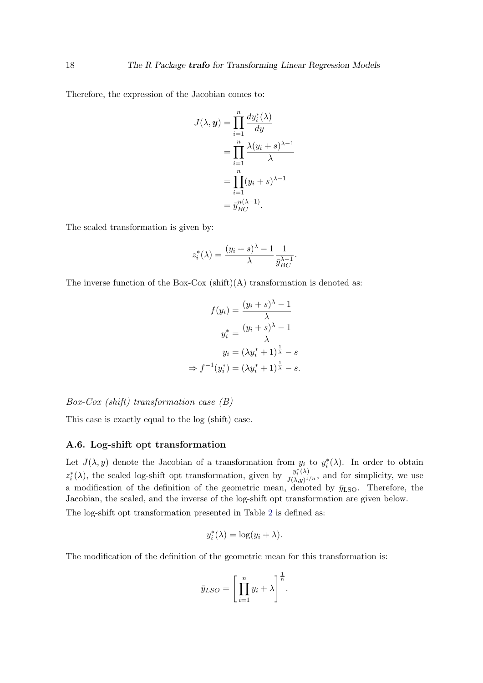Therefore, the expression of the Jacobian comes to:

$$
J(\lambda, \mathbf{y}) = \prod_{i=1}^{n} \frac{dy_i^*(\lambda)}{dy}
$$
  
= 
$$
\prod_{i=1}^{n} \frac{\lambda(y_i + s)^{\lambda - 1}}{\lambda}
$$
  
= 
$$
\prod_{i=1}^{n} (y_i + s)^{\lambda - 1}
$$
  
= 
$$
\bar{y}_{BC}^{n(\lambda - 1)}.
$$

The scaled transformation is given by:

$$
z_i^*(\lambda) = \frac{(y_i + s)^{\lambda} - 1}{\lambda} \frac{1}{\bar{y}_{BC}^{\lambda - 1}}.
$$

The inverse function of the Box-Cox  $(\text{shift})(A)$  transformation is denoted as:

$$
f(y_i) = \frac{(y_i + s)^{\lambda} - 1}{\lambda}
$$

$$
y_i^* = \frac{(y_i + s)^{\lambda} - 1}{\lambda}
$$

$$
y_i = (\lambda y_i^* + 1)^{\frac{1}{\lambda}} - s
$$

$$
\Rightarrow f^{-1}(y_i^*) = (\lambda y_i^* + 1)^{\frac{1}{\lambda}} - s.
$$

 $Box-Cox$  (shift) transformation case (B)

This case is exactly equal to the log (shift) case.

# A.6. Log-shift opt transformation

Let  $J(\lambda, y)$  denote the Jacobian of a transformation from  $y_i$  to  $y_i^*(\lambda)$ . In order to obtain  $z_i^*(\lambda)$ , the scaled log-shift opt transformation, given by  $\frac{y_i^*(\lambda)}{J(\lambda, y)^1}$  $\frac{y_i(\lambda)}{J(\lambda,y)^{1/n}}$ , and for simplicity, we use a modification of the definition of the geometric mean, denoted by  $\bar{y}_{\text{LSO}}$ . Therefore, the Jacobian, the scaled, and the inverse of the log-shift opt transformation are given below.

The log-shift opt transformation presented in Table [2](#page-3-0) is defined as:

 $\frac{1}{2}$ 

$$
y_i^*(\lambda) = \log(y_i + \lambda).
$$

$$
\bar{y}_{LSO} = \left[ \prod_{i=1}^{n} y_i + \lambda \right]^{\frac{1}{n}}.
$$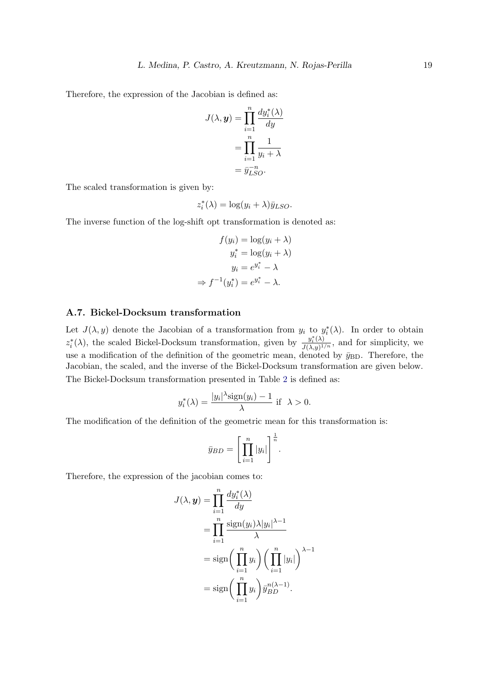Therefore, the expression of the Jacobian is defined as:

$$
J(\lambda, y) = \prod_{i=1}^{n} \frac{dy_i^*(\lambda)}{dy}
$$

$$
= \prod_{i=1}^{n} \frac{1}{y_i + \lambda}
$$

$$
= \overline{y_{LSO}^{-n}}.
$$

The scaled transformation is given by:

$$
z_i^*(\lambda) = \log(y_i + \lambda)\bar{y}_{LSO}.
$$

The inverse function of the log-shift opt transformation is denoted as:

$$
f(y_i) = \log(y_i + \lambda)
$$

$$
y_i^* = \log(y_i + \lambda)
$$

$$
y_i = e^{y_i^*} - \lambda
$$

$$
\Rightarrow f^{-1}(y_i^*) = e^{y_i^*} - \lambda.
$$

#### A.7. Bickel-Docksum transformation

Let  $J(\lambda, y)$  denote the Jacobian of a transformation from  $y_i$  to  $y_i^*(\lambda)$ . In order to obtain  $z_i^*(\lambda)$ , the scaled Bickel-Docksum transformation, given by  $\frac{y_i^*(\lambda)}{J(\lambda, y)^1}$  $\frac{y_i(\lambda)}{J(\lambda,y)^{1/n}}$ , and for simplicity, we use a modification of the definition of the geometric mean, denoted by  $\bar{y}_{BD}$ . Therefore, the Jacobian, the scaled, and the inverse of the Bickel-Docksum transformation are given below. The Bickel-Docksum transformation presented in Table [2](#page-3-0) is defined as:

$$
y_i^*(\lambda) = \frac{|y_i|^{\lambda}\operatorname{sign}(y_i) - 1}{\lambda} \text{ if } \lambda > 0.
$$

The modification of the definition of the geometric mean for this transformation is:

$$
\bar{y}_{BD} = \left[ \prod_{i=1}^n |y_i| \right]^{\frac{1}{n}}.
$$

Therefore, the expression of the jacobian comes to:

$$
J(\lambda, \mathbf{y}) = \prod_{i=1}^{n} \frac{dy_i^*(\lambda)}{dy}
$$
  
= 
$$
\prod_{i=1}^{n} \frac{\text{sign}(y_i)\lambda|y_i|^{\lambda-1}}{\lambda}
$$
  
= 
$$
\text{sign}\left(\prod_{i=1}^{n} y_i\right) \left(\prod_{i=1}^{n} |y_i|\right)^{\lambda-1}
$$
  
= 
$$
\text{sign}\left(\prod_{i=1}^{n} y_i\right) \bar{y}_{BD}^{n(\lambda-1)}.
$$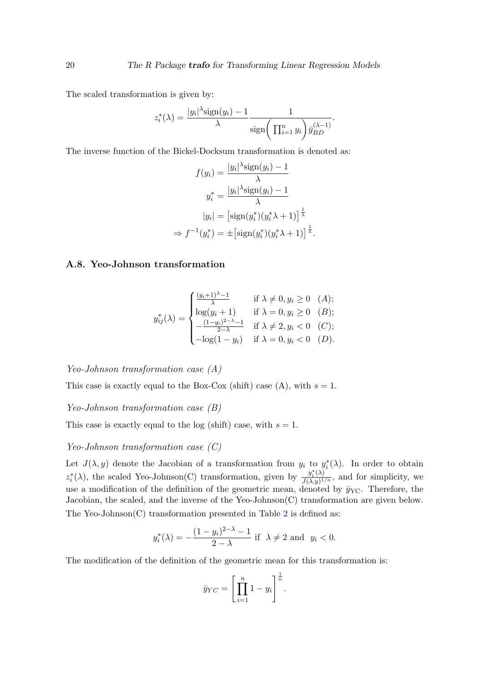The scaled transformation is given by:

$$
z_i^*(\lambda) = \frac{|y_i|^{\lambda} \operatorname{sign}(y_i) - 1}{\lambda} \frac{1}{\operatorname{sign}\left(\prod_{i=1}^n y_i\right) \overline{y}_{BD}^{(\lambda - 1)}}.
$$

The inverse function of the Bickel-Docksum transformation is denoted as:

$$
f(y_i) = \frac{|y_i|^{\lambda} \operatorname{sign}(y_i) - 1}{\lambda}
$$

$$
y_i^* = \frac{|y_i|^{\lambda} \operatorname{sign}(y_i) - 1}{\lambda}
$$

$$
|y_i| = \left[ \operatorname{sign}(y_i^*)(y_i^*\lambda + 1) \right]^{\frac{1}{\lambda}}
$$

$$
\Rightarrow f^{-1}(y_i^*) = \pm \left[ \operatorname{sign}(y_i^*)(y_i^*\lambda + 1) \right]^{\frac{1}{\lambda}}.
$$

### A.8. Yeo-Johnson transformation

$$
y_{ij}^*(\lambda) = \begin{cases} \frac{(y_i+1)^{\lambda}-1}{\lambda} & \text{if } \lambda \neq 0, y_i \geq 0 \quad (A);\\ \log(y_i+1) & \text{if } \lambda = 0, y_i \geq 0 \quad (B);\\ -\frac{(1-y_i)^{2-\lambda}-1}{2-\lambda} & \text{if } \lambda \neq 2, y_i < 0 \quad (C);\\ -\log(1-y_i) & \text{if } \lambda = 0, y_i < 0 \quad (D). \end{cases}
$$

Yeo-Johnson transformation case (A)

This case is exactly equal to the Box-Cox (shift) case (A), with  $s = 1$ .

Yeo-Johnson transformation case (B)

This case is exactly equal to the log (shift) case, with  $s = 1$ .

#### Yeo-Johnson transformation case (C)

Let  $J(\lambda, y)$  denote the Jacobian of a transformation from  $y_i$  to  $y_i^*(\lambda)$ . In order to obtain  $z_i^*(\lambda)$ , the scaled Yeo-Johnson(C) transformation, given by  $\frac{y_i^*(\lambda)}{J(\lambda, y)^1}$  $\frac{y_i(\lambda)}{J(\lambda,y)^{1/n}}$ , and for simplicity, we use a modification of the definition of the geometric mean, denoted by  $\bar{y}_{\text{YC}}$ . Therefore, the Jacobian, the scaled, and the inverse of the Yeo-Johnson(C) transformation are given below. The Yeo-Johnson(C) transformation presented in Table [2](#page-3-0) is defined as:

$$
y_i^*(\lambda) = -\frac{(1-y_i)^{2-\lambda} - 1}{2-\lambda} \text{ if } \lambda \neq 2 \text{ and } y_i < 0.
$$

$$
\bar{y}_{YC} = \left[\prod_{i=1}^{n} 1 - y_i\right]^{\frac{1}{n}}.
$$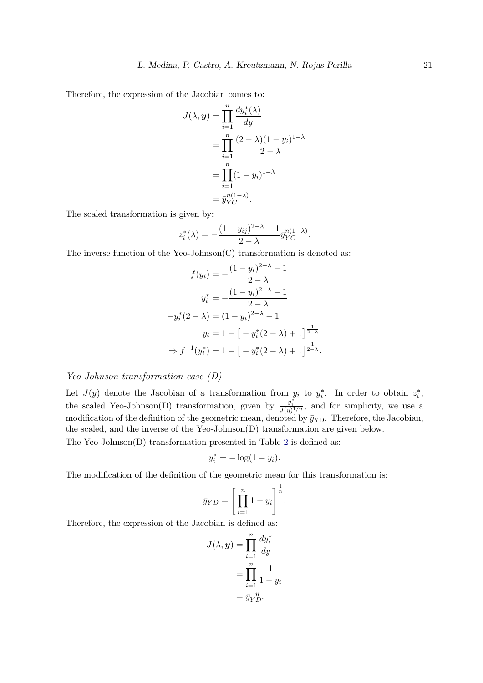Therefore, the expression of the Jacobian comes to:

$$
J(\lambda, \mathbf{y}) = \prod_{i=1}^{n} \frac{dy_i^*(\lambda)}{dy}
$$
  
= 
$$
\prod_{i=1}^{n} \frac{(2-\lambda)(1-y_i)^{1-\lambda}}{2-\lambda}
$$
  
= 
$$
\prod_{i=1}^{n} (1-y_i)^{1-\lambda}
$$
  
= 
$$
\bar{y}_Y^{n(1-\lambda)}.
$$

The scaled transformation is given by:

$$
z_i^*(\lambda) = -\frac{(1 - y_{ij})^{2-\lambda} - 1}{2 - \lambda} \bar{y}_{YC}^{n(1-\lambda)}.
$$

The inverse function of the Yeo-Johnson $(C)$  transformation is denoted as:

$$
f(y_i) = -\frac{(1 - y_i)^{2-\lambda} - 1}{2 - \lambda}
$$

$$
y_i^* = -\frac{(1 - y_i)^{2-\lambda} - 1}{2 - \lambda}
$$

$$
-y_i^*(2 - \lambda) = (1 - y_i)^{2-\lambda} - 1
$$

$$
y_i = 1 - [-y_i^*(2 - \lambda) + 1]^{\frac{1}{2-\lambda}}
$$

$$
\Rightarrow f^{-1}(y_i^*) = 1 - [-y_i^*(2 - \lambda) + 1]^{\frac{1}{2-\lambda}}.
$$

### Yeo-Johnson transformation case (D)

Let  $J(y)$  denote the Jacobian of a transformation from  $y_i$  to  $y_i^*$ . In order to obtain  $z_i^*$ , the scaled Yeo-Johnson(D) transformation, given by  $\frac{y_i^*}{J(y)^{1/n}}$ , and for simplicity, we use a modification of the definition of the geometric mean, denoted by  $\bar{y}_{\text{YD}}$ . Therefore, the Jacobian, the scaled, and the inverse of the Yeo-Johnson(D) transformation are given below.

The Yeo-Johnson(D) transformation presented in Table [2](#page-3-0) is defined as:

$$
y_i^* = -\log(1 - y_i).
$$

The modification of the definition of the geometric mean for this transformation is:

$$
\bar{y}_{YD} = \left[\prod_{i=1}^{n} 1 - y_i\right]^{\frac{1}{n}}.
$$

Therefore, the expression of the Jacobian is defined as:

$$
J(\lambda, \mathbf{y}) = \prod_{i=1}^{n} \frac{dy_i^*}{dy}
$$

$$
= \prod_{i=1}^{n} \frac{1}{1 - y_i}
$$

$$
= \bar{y}_{YD}^{-n}.
$$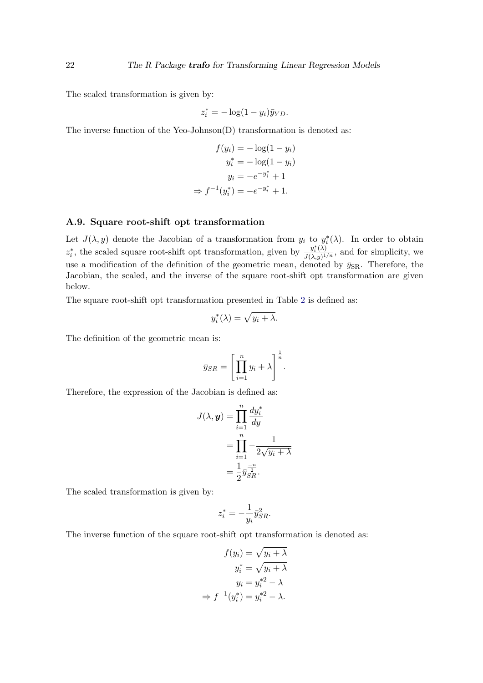The scaled transformation is given by:

$$
z_i^* = -\log(1 - y_i)\overline{y}_{YD}.
$$

The inverse function of the Yeo-Johnson(D) transformation is denoted as:

$$
f(y_i) = -\log(1 - y_i)
$$
  

$$
y_i^* = -\log(1 - y_i)
$$
  

$$
y_i = -e^{-y_i^*} + 1
$$
  

$$
\Rightarrow f^{-1}(y_i^*) = -e^{-y_i^*} + 1.
$$

#### A.9. Square root-shift opt transformation

Let  $J(\lambda, y)$  denote the Jacobian of a transformation from  $y_i$  to  $y_i^*(\lambda)$ . In order to obtain  $z_i^*$ , the scaled square root-shift opt transformation, given by  $\frac{y_i^*(\lambda)}{J(\lambda, y)^1}$  $\frac{y_i(\lambda)}{J(\lambda,y)^{1/n}}$ , and for simplicity, we use a modification of the definition of the geometric mean, denoted by  $\bar{y}_{\text{SR}}$ . Therefore, the Jacobian, the scaled, and the inverse of the square root-shift opt transformation are given below.

The square root-shift opt transformation presented in Table [2](#page-3-0) is defined as:

$$
y_i^*(\lambda) = \sqrt{y_i + \lambda}.
$$

The definition of the geometric mean is:

$$
\bar{y}_{SR} = \left[\prod_{i=1}^{n} y_i + \lambda\right]^{\frac{1}{n}}.
$$

Therefore, the expression of the Jacobian is defined as:

$$
J(\lambda, \mathbf{y}) = \prod_{i=1}^{n} \frac{dy_i^*}{dy}
$$
  
= 
$$
\prod_{i=1}^{n} -\frac{1}{2\sqrt{y_i + \lambda}}
$$
  
= 
$$
\frac{1}{2} \bar{y}_{SR}^{-n}.
$$

The scaled transformation is given by:

$$
z_i^* = -\frac{1}{y_i}\bar{y}_{SR}^2.
$$

The inverse function of the square root-shift opt transformation is denoted as:

$$
f(y_i) = \sqrt{y_i + \lambda}
$$

$$
y_i^* = \sqrt{y_i + \lambda}
$$

$$
y_i = y_i^{*2} - \lambda
$$

$$
\Rightarrow f^{-1}(y_i^*) = y_i^{*2} - \lambda.
$$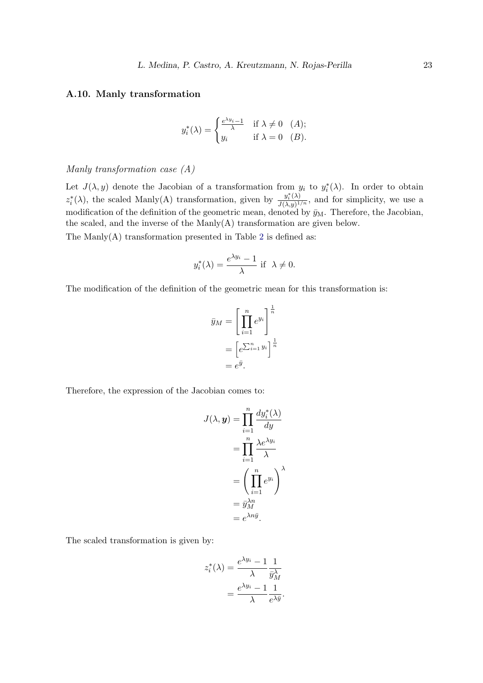### A.10. Manly transformation

$$
y_i^*(\lambda) = \begin{cases} \frac{e^{\lambda y_i} - 1}{\lambda} & \text{if } \lambda \neq 0 \quad (A); \\ y_i & \text{if } \lambda = 0 \quad (B). \end{cases}
$$

### Manly transformation case (A)

Let  $J(\lambda, y)$  denote the Jacobian of a transformation from  $y_i$  to  $y_i^*(\lambda)$ . In order to obtain  $z_i^*(\lambda)$ , the scaled Manly(A) transformation, given by  $\frac{y_i^*(\lambda)}{J(\lambda, y)^1}$  $\frac{y_i(\lambda)}{J(\lambda, y)^{1/n}}$ , and for simplicity, we use a modification of the definition of the geometric mean, denoted by  $\bar{y}_M$ . Therefore, the Jacobian, the scaled, and the inverse of the Manly(A) transformation are given below.

The Manly $(A)$  transformation presented in Table [2](#page-3-0) is defined as:

$$
y_i^*(\lambda) = \frac{e^{\lambda y_i} - 1}{\lambda} \text{ if } \lambda \neq 0.
$$

The modification of the definition of the geometric mean for this transformation is:

$$
\bar{y}_M = \left[\prod_{i=1}^n e^{y_i}\right]^{\frac{1}{n}}
$$

$$
= \left[e^{\sum_{i=1}^n y_i}\right]^{\frac{1}{n}}
$$

$$
= e^{\bar{y}}.
$$

Therefore, the expression of the Jacobian comes to:

$$
J(\lambda, \mathbf{y}) = \prod_{i=1}^{n} \frac{dy_i^*(\lambda)}{dy}
$$
  
= 
$$
\prod_{i=1}^{n} \frac{\lambda e^{\lambda y_i}}{\lambda}
$$
  
= 
$$
\left(\prod_{i=1}^{n} e^{y_i}\right)^{\lambda}
$$
  
= 
$$
\bar{y}_M^{\lambda n}
$$
  
= 
$$
e^{\lambda n} \bar{y}.
$$

The scaled transformation is given by:

$$
z_i^*(\lambda) = \frac{e^{\lambda y_i} - 1}{\lambda} \frac{1}{\bar{y}_M^{\lambda}}
$$

$$
= \frac{e^{\lambda y_i} - 1}{\lambda} \frac{1}{e^{\lambda \bar{y}}}.
$$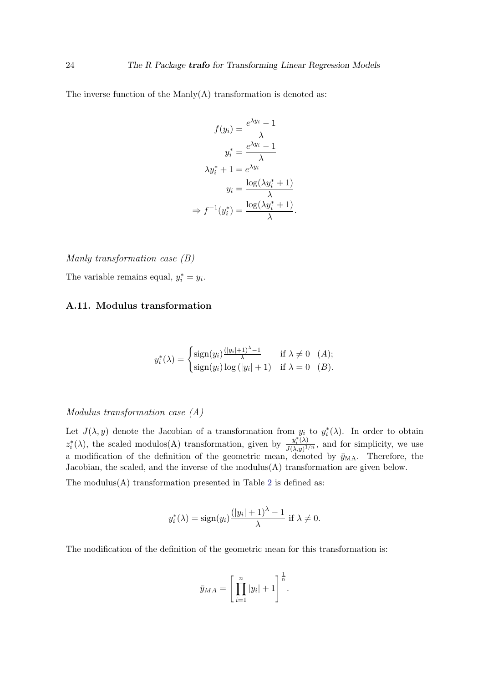The inverse function of the  $\text{Manly}(A)$  transformation is denoted as:

$$
f(y_i) = \frac{e^{\lambda y_i} - 1}{\lambda}
$$

$$
y_i^* = \frac{e^{\lambda y_i} - 1}{\lambda}
$$

$$
\lambda y_i^* + 1 = e^{\lambda y_i}
$$

$$
y_i = \frac{\log(\lambda y_i^* + 1)}{\lambda}
$$

$$
\Rightarrow f^{-1}(y_i^*) = \frac{\log(\lambda y_i^* + 1)}{\lambda}.
$$

Manly transformation case (B)

The variable remains equal,  $y_i^* = y_i$ .

### A.11. Modulus transformation

$$
y_i^*(\lambda) = \begin{cases} \operatorname{sign}(y_i) \frac{(|y_i|+1)^{\lambda}-1}{\lambda} & \text{if } \lambda \neq 0 \ (A); \\ \operatorname{sign}(y_i) \log (|y_i|+1) & \text{if } \lambda = 0 \ (B). \end{cases}
$$

### Modulus transformation case (A)

Let  $J(\lambda, y)$  denote the Jacobian of a transformation from  $y_i$  to  $y_i^*(\lambda)$ . In order to obtain  $z_i^*(\lambda)$ , the scaled modulos(A) transformation, given by  $\frac{y_i^*(\lambda)}{J(\lambda, y)^1}$  $\frac{y_i(\lambda)}{J(\lambda,y)^{1/n}}$ , and for simplicity, we use a modification of the definition of the geometric mean, denoted by  $\bar{y}_{\text{MA}}$ . Therefore, the Jacobian, the scaled, and the inverse of the modulus(A) transformation are given below.

The modulus $(A)$  transformation presented in Table [2](#page-3-0) is defined as:

$$
y_i^*(\lambda) = \text{sign}(y_i) \frac{(|y_i| + 1)^{\lambda} - 1}{\lambda} \text{ if } \lambda \neq 0.
$$

$$
\bar{y}_{MA} = \left[ \prod_{i=1}^{n} |y_i| + 1 \right]^{\frac{1}{n}}.
$$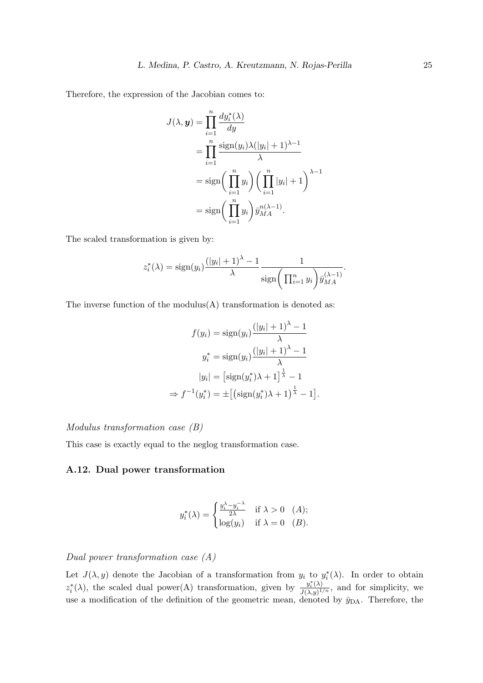Therefore, the expression of the Jacobian comes to:

$$
J(\lambda, \mathbf{y}) = \prod_{i=1}^{n} \frac{dy_i^*(\lambda)}{dy}
$$
  
= 
$$
\prod_{i=1}^{n} \frac{\text{sign}(y_i)\lambda(|y_i|+1)^{\lambda-1}}{\lambda}
$$
  
= 
$$
\text{sign}\left(\prod_{i=1}^{n} y_i\right) \left(\prod_{i=1}^{n} |y_i|+1\right)^{\lambda-1}
$$
  
= 
$$
\text{sign}\left(\prod_{i=1}^{n} y_i\right) \overline{y_{MA}^{n(\lambda-1)}}
$$
.

The scaled transformation is given by:

$$
z_i^*(\lambda) = \text{sign}(y_i) \frac{(|y_i| + 1)^{\lambda} - 1}{\lambda} \frac{1}{\text{sign}\left(\prod_{i=1}^n y_i\right) \overline{y}_{MA}^{(\lambda - 1)}}.
$$

The inverse function of the modulus $(A)$  transformation is denoted as:

$$
f(y_i) = \operatorname{sign}(y_i) \frac{(|y_i| + 1)^{\lambda} - 1}{\lambda}
$$

$$
y_i^* = \operatorname{sign}(y_i) \frac{(|y_i| + 1)^{\lambda} - 1}{\lambda}
$$

$$
|y_i| = \left[\operatorname{sign}(y_i^*)\lambda + 1\right]^{\frac{1}{\lambda}} - 1
$$

$$
\Rightarrow f^{-1}(y_i^*) = \pm \left[\left(\operatorname{sign}(y_i^*)\lambda + 1\right)^{\frac{1}{\lambda}} - 1\right].
$$

#### Modulus transformation case (B)

This case is exactly equal to the neglog transformation case.

### A.12. Dual power transformation

$$
y_i^*(\lambda) = \begin{cases} \frac{y_i^{\lambda} - y_i^{-\lambda}}{2\lambda} & \text{if } \lambda > 0 \ (A); \\ \log(y_i) & \text{if } \lambda = 0 \ (B). \end{cases}
$$

Dual power transformation case (A)

Let  $J(\lambda, y)$  denote the Jacobian of a transformation from  $y_i$  to  $y_i^*(\lambda)$ . In order to obtain  $z_i^*(\lambda)$ , the scaled dual power(A) transformation, given by  $\frac{y_i^*(\lambda)}{J(\lambda, y)^1}$  $\frac{y_i(\lambda)}{J(\lambda,y)^{1/n}}$ , and for simplicity, we use a modification of the definition of the geometric mean, denoted by  $\bar{y}_{DA}$ . Therefore, the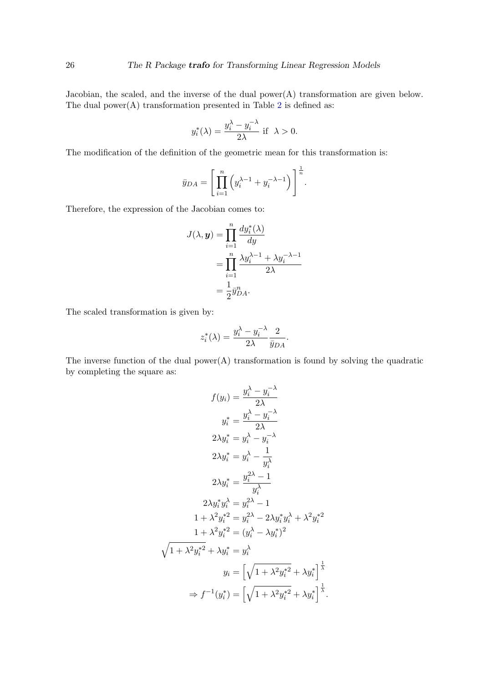Jacobian, the scaled, and the inverse of the dual power(A) transformation are given below. The dual power $(A)$  transformation presented in Table [2](#page-3-0) is defined as:

$$
y_i^*(\lambda) = \frac{y_i^{\lambda} - y_i^{-\lambda}}{2\lambda} \text{ if } \lambda > 0.
$$

The modification of the definition of the geometric mean for this transformation is:

$$
\bar{y}_{DA} = \left[ \prod_{i=1}^n \left( y_i^{\lambda - 1} + y_i^{-\lambda - 1} \right) \right]^{\frac{1}{n}}.
$$

Therefore, the expression of the Jacobian comes to:

$$
J(\lambda, \mathbf{y}) = \prod_{i=1}^{n} \frac{dy_i^*(\lambda)}{dy}
$$
  
= 
$$
\prod_{i=1}^{n} \frac{\lambda y_i^{\lambda - 1} + \lambda y_i^{-\lambda - 1}}{2\lambda}
$$
  
= 
$$
\frac{1}{2} \bar{y}_{DA}^n.
$$

The scaled transformation is given by:

$$
z_i^*(\lambda) = \frac{y_i^{\lambda} - y_i^{-\lambda}}{2\lambda} \frac{2}{\bar{y}_{DA}}.
$$

The inverse function of the dual power $(A)$  transformation is found by solving the quadratic by completing the square as:

$$
f(y_i) = \frac{y_i^{\lambda} - y_i^{-\lambda}}{2\lambda}
$$
  
\n
$$
y_i^* = \frac{y_i^{\lambda} - y_i^{-\lambda}}{2\lambda}
$$
  
\n
$$
2\lambda y_i^* = y_i^{\lambda} - y_i^{-\lambda}
$$
  
\n
$$
2\lambda y_i^* = y_i^{\lambda} - \frac{1}{y_i^{\lambda}}
$$
  
\n
$$
2\lambda y_i^* = \frac{y_i^{2\lambda} - 1}{y_i^{\lambda}}
$$
  
\n
$$
2\lambda y_i^* y_i^{\lambda} = y_i^{2\lambda} - 1
$$
  
\n
$$
1 + \lambda^2 y_i^{*2} = y_i^{2\lambda} - 2\lambda y_i^* y_i^{\lambda} + \lambda^2 y_i^{*2}
$$
  
\n
$$
1 + \lambda^2 y_i^{*2} = (y_i^{\lambda} - \lambda y_i^*)^2
$$
  
\n
$$
\sqrt{1 + \lambda^2 y_i^{*2}} + \lambda y_i^* = y_i^{\lambda}
$$
  
\n
$$
y_i = \left[\sqrt{1 + \lambda^2 y_i^{*2}} + \lambda y_i^*\right]^{\frac{1}{\lambda}}
$$
  
\n
$$
\Rightarrow f^{-1}(y_i^*) = \left[\sqrt{1 + \lambda^2 y_i^{*2}} + \lambda y_i^*\right]^{\frac{1}{\lambda}}
$$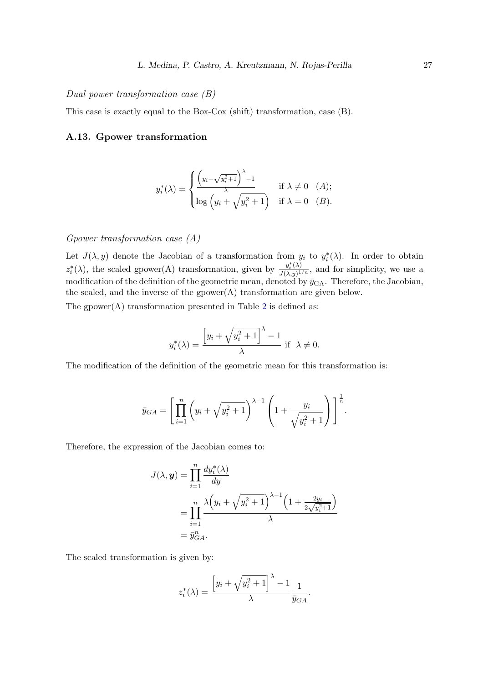### Dual power transformation case (B)

This case is exactly equal to the Box-Cox (shift) transformation, case (B).

### A.13. Gpower transformation

$$
y_i^*(\lambda) = \begin{cases} \frac{\left(y_i + \sqrt{y_i^2 + 1}\right)^{\lambda} - 1}{\lambda} & \text{if } \lambda \neq 0 \quad (A);\\ \log\left(y_i + \sqrt{y_i^2 + 1}\right) & \text{if } \lambda = 0 \quad (B). \end{cases}
$$

### Gpower transformation case (A)

Let  $J(\lambda, y)$  denote the Jacobian of a transformation from  $y_i$  to  $y_i^*(\lambda)$ . In order to obtain  $z_i^*(\lambda)$ , the scaled gpower(A) transformation, given by  $\frac{y_i^*(\lambda)}{J(\lambda, y)^1}$  $\frac{y_i(\lambda)}{J(\lambda,y)^{1/n}}$ , and for simplicity, we use a modification of the definition of the geometric mean, denoted by  $\bar{y}_{\text{GA}}$ . Therefore, the Jacobian, the scaled, and the inverse of the  $g\nu$ <sub>c</sub> (A) transformation are given below.

The gpower $(A)$  transformation presented in Table [2](#page-3-0) is defined as:

$$
y_i^*(\lambda) = \frac{\left[y_i + \sqrt{y_i^2 + 1}\right]^\lambda - 1}{\lambda} \text{ if } \lambda \neq 0.
$$

The modification of the definition of the geometric mean for this transformation is:

$$
\bar{y}_{GA} = \left[ \prod_{i=1}^{n} \left( y_i + \sqrt{y_i^2 + 1} \right)^{\lambda - 1} \left( 1 + \frac{y_i}{\sqrt{y_i^2 + 1}} \right) \right]^{\frac{1}{n}}.
$$

Therefore, the expression of the Jacobian comes to:

$$
J(\lambda, \mathbf{y}) = \prod_{i=1}^{n} \frac{dy_i^*(\lambda)}{dy}
$$
  
= 
$$
\prod_{i=1}^{n} \frac{\lambda \left(y_i + \sqrt{y_i^2 + 1}\right)^{\lambda - 1} \left(1 + \frac{2y_i}{2\sqrt{y_i^2 + 1}}\right)}{\lambda}
$$
  
= 
$$
\bar{y}_{GA}^n
$$
.

The scaled transformation is given by:

$$
z_i^*(\lambda) = \frac{\left[y_i + \sqrt{y_i^2 + 1}\right]^\lambda - 1}{\lambda} \frac{1}{\bar{y}_{GA}}.
$$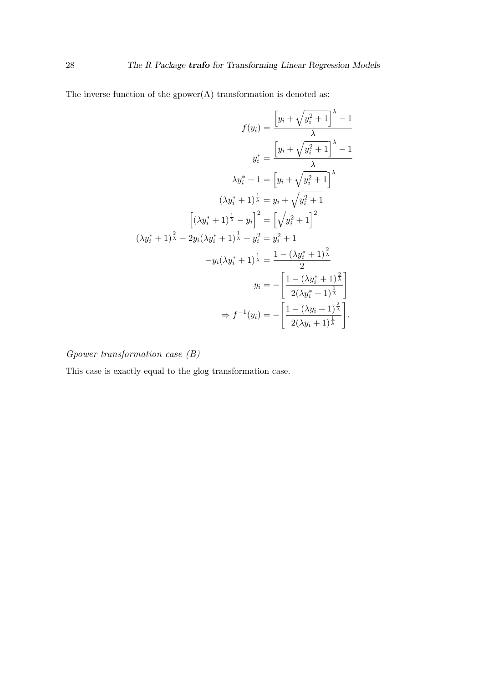The inverse function of the  $g$ power $(A)$  transformation is denoted as:

$$
f(y_i) = \frac{\left[y_i + \sqrt{y_i^2 + 1}\right]^\lambda - 1}{\lambda}
$$

$$
y_i^* = \frac{\left[y_i + \sqrt{y_i^2 + 1}\right]^\lambda - 1}{\lambda}
$$

$$
\lambda y_i^* + 1 = \left[y_i + \sqrt{y_i^2 + 1}\right]^\lambda
$$

$$
(\lambda y_i^* + 1)^{\frac{1}{\lambda}} = y_i + \sqrt{y_i^2 + 1}
$$

$$
\left[(\lambda y_i^* + 1)^{\frac{1}{\lambda}} - y_i\right]^2 = \left[\sqrt{y_i^2 + 1}\right]^2
$$

$$
(\lambda y_i^* + 1)^{\frac{2}{\lambda}} - 2y_i(\lambda y_i^* + 1)^{\frac{1}{\lambda}} + y_i^2 = y_i^2 + 1
$$

$$
-y_i(\lambda y_i^* + 1)^{\frac{1}{\lambda}} = \frac{1 - (\lambda y_i^* + 1)^{\frac{2}{\lambda}}}{2}
$$

$$
y_i = -\left[\frac{1 - (\lambda y_i^* + 1)^{\frac{1}{\lambda}}}{2(\lambda y_i^* + 1)^{\frac{1}{\lambda}}}\right]
$$

$$
\Rightarrow f^{-1}(y_i) = -\left[\frac{1 - (\lambda y_i + 1)^{\frac{1}{\lambda}}}{2(\lambda y_i + 1)^{\frac{1}{\lambda}}}\right].
$$

# Gpower transformation case (B)

This case is exactly equal to the glog transformation case.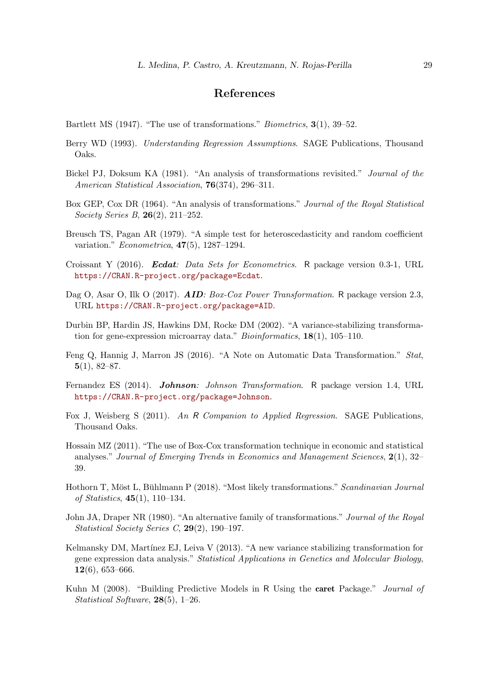# References

- <span id="page-28-13"></span>Bartlett MS (1947). "The use of transformations." *Biometrics*, **3**(1), 39–52.
- <span id="page-28-9"></span>Berry WD (1993). Understanding Regression Assumptions. SAGE Publications, Thousand Oaks.
- <span id="page-28-6"></span>Bickel PJ, Doksum KA (1981). "An analysis of transformations revisited." Journal of the American Statistical Association, 76(374), 296–311.
- <span id="page-28-10"></span>Box GEP, Cox DR (1964). "An analysis of transformations." Journal of the Royal Statistical Society Series B, 26(2), 211–252.
- <span id="page-28-14"></span>Breusch TS, Pagan AR (1979). "A simple test for heteroscedasticity and random coefficient variation." Econometrica, 47(5), 1287–1294.
- <span id="page-28-15"></span>Croissant Y (2016). Ecdat: Data Sets for Econometrics. R package version 0.3-1, URL <https://CRAN.R-project.org/package=Ecdat>.
- <span id="page-28-5"></span>Dag O, Asar O, Ilk O (2017). **AID:** Box-Cox Power Transformation. R package version 2.3, URL <https://CRAN.R-project.org/package=AID>.
- <span id="page-28-8"></span>Durbin BP, Hardin JS, Hawkins DM, Rocke DM (2002). "A variance-stabilizing transformation for gene-expression microarray data." Bioinformatics, 18(1), 105–110.
- <span id="page-28-11"></span>Feng Q, Hannig J, Marron JS (2016). "A Note on Automatic Data Transformation." Stat,  $5(1), 82-87.$
- <span id="page-28-4"></span>Fernandez ES (2014). Johnson: Johnson Transformation. R package version 1.4, URL <https://CRAN.R-project.org/package=Johnson>.
- <span id="page-28-2"></span>Fox J, Weisberg S (2011). An R Companion to Applied Regression. SAGE Publications, Thousand Oaks.
- <span id="page-28-1"></span>Hossain MZ (2011). "The use of Box-Cox transformation technique in economic and statistical analyses." Journal of Emerging Trends in Economics and Management Sciences, 2(1), 32– 39.
- <span id="page-28-0"></span>Hothorn T, Möst L, Bühlmann P (2018). "Most likely transformations." Scandinavian Journal of Statistics,  $45(1)$ ,  $110-134$ .
- <span id="page-28-7"></span>John JA, Draper NR (1980). "An alternative family of transformations." Journal of the Royal Statistical Society Series C, 29(2), 190–197.
- <span id="page-28-12"></span>Kelmansky DM, Martínez EJ, Leiva V (2013). "A new variance stabilizing transformation for gene expression data analysis." Statistical Applications in Genetics and Molecular Biology, 12(6), 653–666.
- <span id="page-28-3"></span>Kuhn M (2008). "Building Predictive Models in R Using the caret Package." Journal of Statistical Software, 28(5), 1–26.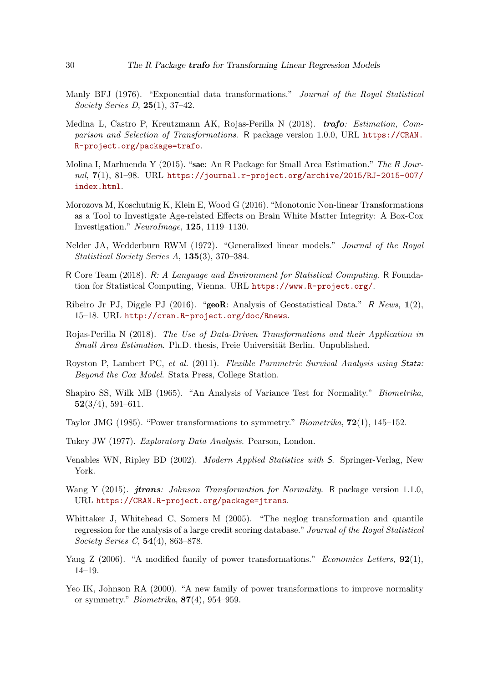- <span id="page-29-7"></span>Manly BFJ (1976). "Exponential data transformations." Journal of the Royal Statistical Society Series D, 25(1), 37–42.
- <span id="page-29-2"></span>Medina L, Castro P, Kreutzmann AK, Rojas-Perilla N (2018). trafo: Estimation, Comparison and Selection of Transformations. R package version 1.0.0, URL [https://CRAN.](https://CRAN.R-project.org/package=trafo) [R-project.org/package=trafo](https://CRAN.R-project.org/package=trafo).
- <span id="page-29-5"></span>Molina I, Marhuenda Y (2015). "sae: An R Package for Small Area Estimation." The R Journal,  $7(1)$ , 81-98. URL [https://journal.r-project.org/archive/2015/RJ-2015-007/](https://journal.r-project.org/archive/2015/RJ-2015-007/index.html) [index.html](https://journal.r-project.org/archive/2015/RJ-2015-007/index.html).
- <span id="page-29-0"></span>Morozova M, Koschutnig K, Klein E, Wood G (2016). "Monotonic Non-linear Transformations as a Tool to Investigate Age-related Effects on Brain White Matter Integrity: A Box-Cox Investigation." NeuroImage, 125, 1119–1130.
- <span id="page-29-13"></span>Nelder JA, Wedderburn RWM (1972). "Generalized linear models." Journal of the Royal Statistical Society Series A, 135(3), 370–384.
- <span id="page-29-1"></span>R Core Team (2018). R: A Language and Environment for Statistical Computing. R Foundation for Statistical Computing, Vienna. URL <https://www.R-project.org/>.
- <span id="page-29-6"></span>Ribeiro Jr PJ, Diggle PJ (2016). "geoR: Analysis of Geostatistical Data." R News,  $1(2)$ , 15–18. URL <http://cran.R-project.org/doc/Rnews>.
- <span id="page-29-3"></span>Rojas-Perilla N (2018). The Use of Data-Driven Transformations and their Application in Small Area Estimation. Ph.D. thesis, Freie Universität Berlin. Unpublished.
- <span id="page-29-12"></span>Royston P, Lambert PC, et al. (2011). Flexible Parametric Survival Analysis using Stata: Beyond the Cox Model. Stata Press, College Station.
- <span id="page-29-16"></span>Shapiro SS, Wilk MB (1965). "An Analysis of Variance Test for Normality." Biometrika, 52(3/4), 591–611.
- <span id="page-29-10"></span>Taylor JMG  $(1985)$ . "Power transformations to symmetry." *Biometrika*, **72** $(1)$ , 145–152.
- <span id="page-29-14"></span>Tukey JW (1977). Exploratory Data Analysis. Pearson, London.
- <span id="page-29-4"></span>Venables WN, Ripley BD (2002). Modern Applied Statistics with S. Springer-Verlag, New York.
- <span id="page-29-8"></span>Wang Y (2015). *jtrans: Johnson Transformation for Normality*. R package version 1.1.0, URL <https://CRAN.R-project.org/package=jtrans>.
- <span id="page-29-9"></span>Whittaker J, Whitehead C, Somers M (2005). "The neglog transformation and quantile regression for the analysis of a large credit scoring database." Journal of the Royal Statistical Society Series C, 54(4), 863–878.
- <span id="page-29-15"></span>Yang Z (2006). "A modified family of power transformations." *Economics Letters*,  $92(1)$ , 14–19.
- <span id="page-29-11"></span>Yeo IK, Johnson RA (2000). "A new family of power transformations to improve normality or symmetry." Biometrika,  $87(4)$ , 954–959.